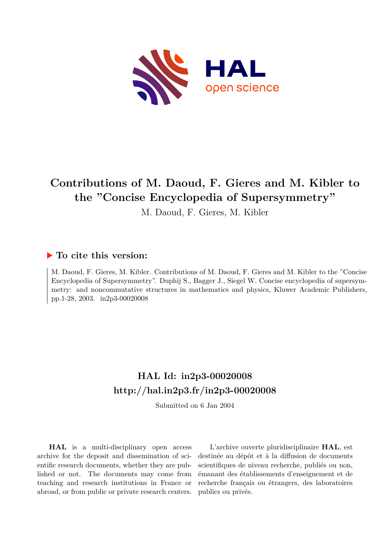

# **Contributions of M. Daoud, F. Gieres and M. Kibler to the "Concise Encyclopedia of Supersymmetry"**

M. Daoud, F. Gieres, M. Kibler

# **To cite this version:**

M. Daoud, F. Gieres, M. Kibler. Contributions of M. Daoud, F. Gieres and M. Kibler to the "Concise Encyclopedia of Supersymmetry". Duphij S., Bagger J., Siegel W. Concise encyclopedia of supersymmetry: and noncommutative structures in mathematics and physics, Kluwer Academic Publishers, pp.1-28, 2003. in2p3-00020008

# **HAL Id: in2p3-00020008 <http://hal.in2p3.fr/in2p3-00020008>**

Submitted on 6 Jan 2004

**HAL** is a multi-disciplinary open access archive for the deposit and dissemination of scientific research documents, whether they are published or not. The documents may come from teaching and research institutions in France or abroad, or from public or private research centers.

L'archive ouverte pluridisciplinaire **HAL**, est destinée au dépôt et à la diffusion de documents scientifiques de niveau recherche, publiés ou non, émanant des établissements d'enseignement et de recherche français ou étrangers, des laboratoires publics ou privés.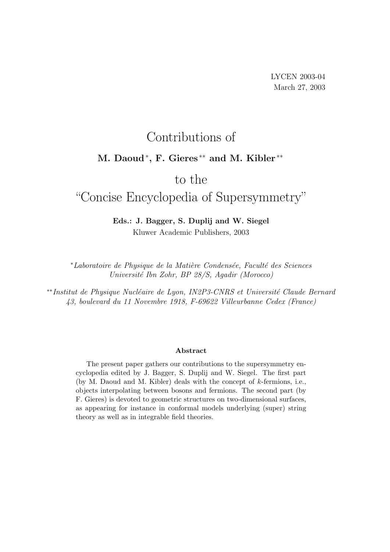# Contributions of

# M. Daoud<sup>\*</sup>, F. Gieres<sup>\*\*</sup> and M. Kibler<sup>\*\*</sup>

# to the

# "Concise Encyclopedia of Supersymmetry"

## Eds.: J. Bagger, S. Duplij and W. Siegel Kluwer Academic Publishers, 2003

\*Laboratoire de Physique de la Matière Condensée, Faculté des Sciences Universit´e Ibn Zohr, BP 28/S, Agadir (Morocco)

∗∗Institut de Physique Nucléaire de Lyon, IN2P3-CNRS et Université Claude Bernard 43, boulevard du 11 Novembre 1918, F-69622 Villeurbanne Cedex (France)

#### Abstract

The present paper gathers our contributions to the supersymmetry encyclopedia edited by J. Bagger, S. Duplij and W. Siegel. The first part (by M. Daoud and M. Kibler) deals with the concept of k-fermions, i.e., objects interpolating between bosons and fermions. The second part (by F. Gieres) is devoted to geometric structures on two-dimensional surfaces, as appearing for instance in conformal models underlying (super) string theory as well as in integrable field theories.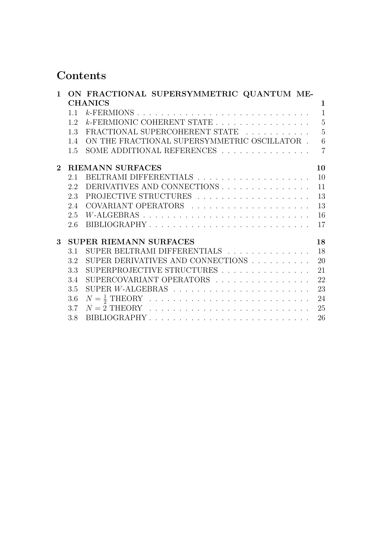# Contents

| $\mathbf{1}$   |     | ON FRACTIONAL SUPERSYMMETRIC QUANTUM ME-                          |                |
|----------------|-----|-------------------------------------------------------------------|----------------|
|                |     | <b>CHANICS</b>                                                    | 1              |
|                | 1.1 |                                                                   |                |
|                | 12  | $k$ -FERMIONIC COHERENT STATE 5                                   |                |
|                | 1.3 | FRACTIONAL SUPERCOHERENT STATE                                    | $\overline{5}$ |
|                | 1.4 | ON THE FRACTIONAL SUPERSYMMETRIC OSCILLATOR . $\;$                | 6              |
|                | 1.5 | SOME ADDITIONAL REFERENCES $\ldots \ldots \ldots \ldots \ldots$ 7 |                |
| $\overline{2}$ |     | <b>RIEMANN SURFACES</b>                                           | 10             |
|                | 2.1 |                                                                   | 10             |
|                | 2.2 | DERIVATIVES AND CONNECTIONS                                       | 11             |
|                | 2.3 |                                                                   | 13             |
|                | 2.4 |                                                                   | 13             |
|                | 2.5 |                                                                   | 16             |
|                | 2.6 | BIBLIOGRAPHY                                                      | 17             |
| 3              |     | <b>SUPER RIEMANN SURFACES</b>                                     | 18             |
|                | 3.1 | SUPER BELTRAMI DIFFERENTIALS                                      | 18             |
|                | 3.2 | SUPER DERIVATIVES AND CONNECTIONS $\ldots \ldots \ldots$          | 20             |
|                | 3.3 | SUPERPROJECTIVE STRUCTURES                                        | 21             |
|                | 3.4 | SUPERCOVARIANT OPERATORS                                          | 22             |
|                | 3.5 |                                                                   | 23             |
|                | 3.6 |                                                                   | 24             |
|                | 3.7 |                                                                   | 25             |
|                | 3.8 | BIBLIOGRAPHY                                                      | 26             |
|                |     |                                                                   |                |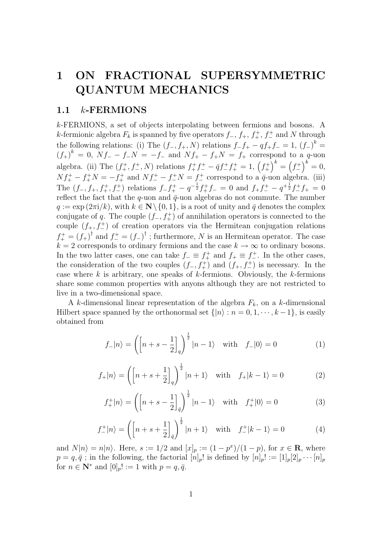# 1 ON FRACTIONAL SUPERSYMMETRIC QUANTUM MECHANICS

#### 1.1 k-FERMIONS

k-FERMIONS, a set of objects interpolating between fermions and bosons. A k-fermionic algebra  $F_k$  is spanned by five operators  $f_-, f_+, f_+^+, f_-^+$  and N through the following relations: (i) The  $(f_-, f_+, N)$  relations  $f_-f_+ - qf_+f_- = 1$ ,  $(f_-)^k =$  $(f_{+})^{k} = 0$ ,  $Nf_{-} - f_{-}N = -f_{-}$  and  $Nf_{+} - f_{+}N = f_{+}$  correspond to a q-uon algebra. (ii) The  $(f_+^+, f_-^+, N)$  relations  $f_+^+ f_-^+ - \bar{q} f_-^+ f_+^+ = 1, (f_+^+)^k = (f_-^+)^k = 0,$  $Nf_{+}^{+}-f_{+}^{+}N=-f_{+}^{+}$  and  $Nf_{-}^{+}-f_{-}^{+}N=f_{-}^{+}$  correspond to a  $\bar{q}$ -uon algebra. (iii) The  $(f_-, f_+, f_+^+, f_-^+)$  relations  $f_- f_+^+ - q^{-\frac{1}{2}} f_+^+ f_- = 0$  and  $f_+ f_-^+ - q^{+\frac{1}{2}} f_-^+ f_+ = 0$ reflect the fact that the  $q$ -uon and  $\bar{q}$ -uon algebras do not commute. The number  $q := \exp(2\pi i/k)$ , with  $k \in \mathbb{N} \setminus \{0, 1\}$ , is a root of unity and  $\bar{q}$  denotes the complex conjugate of q. The couple  $(f_-, f_+^+)$  of annihilation operators is connected to the couple  $(f_+, f_-^+)$  of creation operators via the Hermitean conjugation relations  $f_{+}^{+} = (f_{+})^{\dagger}$  and  $f_{-}^{+} = (f_{-})^{\dagger}$ ; furthermore, N is an Hermitean operator. The case  $k = 2$  corresponds to ordinary fermions and the case  $k \to \infty$  to ordinary bosons. In the two latter cases, one can take  $f_-\equiv f_+^+$  and  $f_+\equiv f_-^+$ . In the other cases, the consideration of the two couples  $(f_-, f_+^+)$  and  $(f_+, f_-^+)$  is necessary. In the case where k is arbitrary, one speaks of  $k$ -fermions. Obviously, the  $k$ -fermions share some common properties with anyons although they are not restricted to live in a two-dimensional space.

A k-dimensional linear representation of the algebra  $F_k$ , on a k-dimensional Hilbert space spanned by the orthonormal set  $\{|n\rangle : n = 0, 1, \dots, k-1\}$ , is easily obtained from

$$
f_{-}|n\rangle = \left(\left[n+s-\frac{1}{2}\right]_{q}\right)^{\frac{1}{2}}|n-1\rangle \quad \text{with} \quad f_{-}|0\rangle = 0\tag{1}
$$

$$
f_{+}|n\rangle = \left(\left[n+s+\frac{1}{2}\right]_{q}\right)^{\frac{1}{2}}|n+1\rangle \quad \text{with} \quad f_{+}|k-1\rangle = 0\tag{2}
$$

$$
f_{+}^{+}|n\rangle = \left(\left[n+s-\frac{1}{2}\right]_{\bar{q}}\right)^{\frac{1}{2}}|n-1\rangle \quad \text{with} \quad f_{+}^{+}|0\rangle = 0\tag{3}
$$

$$
f_{-}^{+}|n\rangle = \left(\left[n+s+\frac{1}{2}\right]_{\bar{q}}\right)^{\frac{1}{2}}|n+1\rangle \quad \text{with} \quad f_{-}^{+}|k-1\rangle = 0\tag{4}
$$

and  $N|n\rangle = n|n\rangle$ . Here,  $s := 1/2$  and  $[x]_p := (1 - p^x)/(1 - p)$ , for  $x \in \mathbb{R}$ , where  $p = q, \bar{q}$ ; in the following, the factorial  $[n]_p!$  is defined by  $[n]_p! := [1]_p[2]_p \cdots [n]_p$ for  $n \in \mathbb{N}^*$  and  $[0]_p! := 1$  with  $p = q, \bar{q}$ .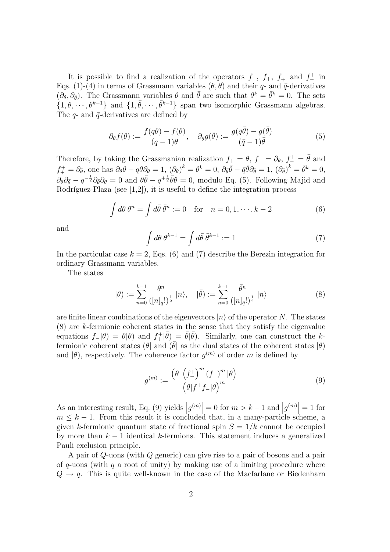It is possible to find a realization of the operators  $f_-, f_+, f_+^+$  and  $f_-^+$  in Eqs. (1)-(4) in terms of Grassmann variables  $(\theta, \bar{\theta})$  and their q- and  $\bar{q}$ -derivatives  $(\partial_{\theta}, \partial_{\bar{\theta}})$ . The Grassmann variables  $\theta$  and  $\bar{\theta}$  are such that  $\theta^k = \bar{\theta}^k = 0$ . The sets  $\{1, \theta, \dots, \theta^{k-1}\}\$ and  $\{1, \bar{\theta}, \dots, \bar{\theta}^{k-1}\}\$ span two isomorphic Grassmann algebras. The  $q$ - and  $\bar{q}$ -derivatives are defined by

$$
\partial_{\theta} f(\theta) := \frac{f(q\theta) - f(\theta)}{(q-1)\theta}, \quad \partial_{\bar{\theta}} g(\bar{\theta}) := \frac{g(\bar{q}\bar{\theta}) - g(\bar{\theta})}{(\bar{q}-1)\bar{\theta}} \tag{5}
$$

Therefore, by taking the Grassmanian realization  $f_+ = \theta$ ,  $f_- = \partial_{\theta}$ ,  $f_+^+ = \bar{\theta}$  and  $f_+^+ = \partial_{\bar{\theta}},$  one has  $\partial_{\theta}\theta - q\theta\partial_{\theta} = 1$ ,  $(\partial_{\theta})^k = \theta^k = 0$ ,  $\partial_{\bar{\theta}}\bar{\theta} - \bar{q}\bar{\theta}\partial_{\bar{\theta}} = 1$ ,  $(\partial_{\bar{\theta}})^k = \bar{\theta}^k = 0$ ,  $\partial_{\theta}\partial_{\bar{\theta}}-q^{-\frac{1}{2}}\partial_{\bar{\theta}}\partial_{\theta}=0$  and  $\theta\bar{\theta}-q^{+\frac{1}{2}}\bar{\theta}\theta=0$ , modulo Eq. (5). Following Majid and Rodríguez-Plaza (see  $[1,2]$ ), it is useful to define the integration process

$$
\int d\theta \,\theta^n = \int d\bar{\theta} \,\bar{\theta}^n := 0 \quad \text{for} \quad n = 0, 1, \cdots, k - 2 \tag{6}
$$

and

$$
\int d\theta \,\theta^{k-1} = \int d\bar{\theta} \,\bar{\theta}^{k-1} := 1\tag{7}
$$

In the particular case  $k = 2$ , Eqs. (6) and (7) describe the Berezin integration for ordinary Grassmann variables.

The states

$$
|\theta) := \sum_{n=0}^{k-1} \frac{\theta^n}{([n]_q!)^{\frac{1}{2}}} |n\rangle, \quad |\bar{\theta}) := \sum_{n=0}^{k-1} \frac{\bar{\theta}^n}{([n]_{\bar{q}}!)^{\frac{1}{2}}} |n\rangle \tag{8}
$$

are finite linear combinations of the eigenvectors  $|n\rangle$  of the operator N. The states (8) are k-fermionic coherent states in the sense that they satisfy the eigenvalue equations  $f_-|\theta$  =  $\theta|\theta$  and  $f_+^+|\bar{\theta}$  =  $\bar{\theta}|\bar{\theta}$ . Similarly, one can construct the kfermionic coherent states ( $\theta$ | and  $(\bar{\theta})$  as the dual states of the coherent states  $|\theta\rangle$ and  $|\bar{\theta}$ ), respectively. The coherence factor  $g^{(m)}$  of order m is defined by

$$
g^{(m)} := \frac{\left(\theta \mid \left(f_{-}^{+}\right)^m (f_{-})^m \mid \theta\right)}{\left(\theta \mid f_{-}^{+} f_{-} \mid \theta\right)^m} \tag{9}
$$

As an interesting result, Eq. (9) yields  $|g^{(m)}| = 0$  for  $m > k - 1$  and  $|g^{(m)}| = 1$  for  $m \leq k - 1$ . From this result it is concluded that, in a many-particle scheme, a given k-fermionic quantum state of fractional spin  $S = 1/k$  cannot be occupied by more than  $k-1$  identical k-fermions. This statement induces a generalized Pauli exclusion principle.

A pair of Q-uons (with Q generic) can give rise to a pair of bosons and a pair of q-uons (with q a root of unity) by making use of a limiting procedure where  $Q \rightarrow q$ . This is quite well-known in the case of the Macfarlane or Biedenharn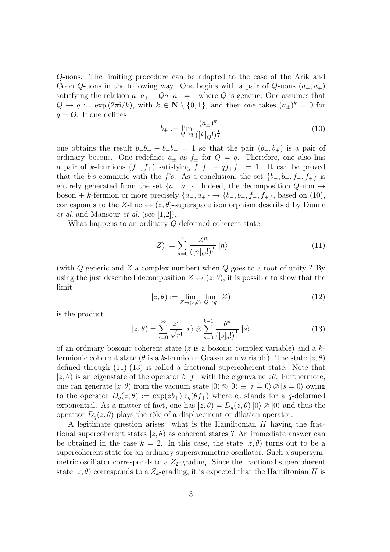Q-uons. The limiting procedure can be adapted to the case of the Arik and Coon Q-uons in the following way. One begins with a pair of  $Q$ -uons  $(a_-, a_+)$ satisfying the relation  $a_{-}a_{+} - Q_{a+}a_{-} = 1$  where Q is generic. One assumes that  $Q \to q := \exp(2\pi i/k)$ , with  $k \in \mathbb{N} \setminus \{0,1\}$ , and then one takes  $(a_{\pm})^k = 0$  for  $q = Q$ . If one defines

$$
b_{\pm} := \lim_{Q \to q} \frac{(a_{\pm})^k}{([k]_Q!)^{\frac{1}{2}}} \tag{10}
$$

one obtains the result  $b-b_+ - b_+ b_- = 1$  so that the pair  $(b_-, b_+)$  is a pair of ordinary bosons. One redefines  $a_{\pm}$  as  $f_{\pm}$  for  $Q = q$ . Therefore, one also has a pair of k-fermions  $(f_-, f_+)$  satisfying  $f_+f_+ - qf_+f_- = 1$ . It can be proved that the b's commute with the f's. As a conclusion, the set  ${b_-, b_+, f_-, f_+}$  is entirely generated from the set  $\{a_-, a_+\}$ . Indeed, the decomposition  $Q$ -uon  $\rightarrow$ boson + k-fermion or more precisely  $\{a_-, a_+\} \to \{b_-, b_+, f_-, f_+\}$ , based on (10), corresponds to the Z-line  $\leftrightarrow (z, \theta)$ -superspace isomorphism described by Dunne et al. and Mansour et al. (see  $[1,2]$ ).

What happens to an ordinary Q-deformed coherent state

$$
|Z| := \sum_{n=0}^{\infty} \frac{Z^n}{([n]_Q!)^{\frac{1}{2}}} \, |n\rangle \tag{11}
$$

(with  $Q$  generic and  $Z$  a complex number) when  $Q$  goes to a root of unity ? By using the just described decomposition  $Z \leftrightarrow (z, \theta)$ , it is possible to show that the limit

$$
|z,\theta\rangle := \lim_{Z \to (z,\theta)} \lim_{Q \to q} |Z\rangle \tag{12}
$$

is the product

$$
|z,\theta) = \sum_{r=0}^{\infty} \frac{z^r}{\sqrt{r!}} |r\rangle \otimes \sum_{s=0}^{k-1} \frac{\theta^s}{([s]_q!)^{\frac{1}{2}}} |s\rangle \tag{13}
$$

of an ordinary bosonic coherent state ( $z$  is a bosonic complex variable) and a  $k$ fermionic coherent state ( $\theta$  is a k-fermionic Grassmann variable). The state  $(z, \theta)$ defined through (11)-(13) is called a fractional supercoherent state. Note that  $|z, \theta\rangle$  is an eigenstate of the operator  $b-f_-\$  with the eigenvalue  $z\theta$ . Furthermore, one can generate  $|z, \theta\rangle$  from the vacuum state  $|0\rangle \otimes |0\rangle \equiv |r = 0\rangle \otimes |s = 0\rangle$  owing to the operator  $D_q(z, \theta) := \exp(zb_+) \cdot e_q(\theta f_+)$  where  $e_q$  stands for a q-deformed exponential. As a matter of fact, one has  $|z, \theta| = D_q(z, \theta) |0\rangle \otimes |0\rangle$  and thus the operator  $D_q(z, \theta)$  plays the rôle of a displacement or dilation operator.

A legitimate question arises: what is the Hamiltonian H having the fractional supercoherent states  $|z, \theta\rangle$  as coherent states ? An immediate answer can be obtained in the case  $k = 2$ . In this case, the state  $|z, \theta\rangle$  turns out to be a supercoherent state for an ordinary supersymmetric oscillator. Such a supersymmetric oscillator corresponds to a  $Z_2$ -grading. Since the fractional supercoherent state  $|z, \theta\rangle$  corresponds to a  $Z_k$ -grading, it is expected that the Hamiltonian H is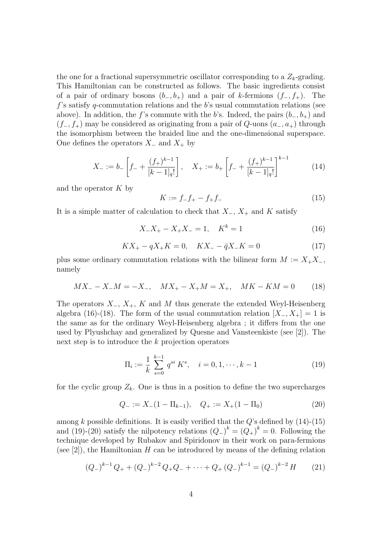the one for a fractional supersymmetric oscillator corresponding to a  $Z_k$ -grading. This Hamiltonian can be constructed as follows. The basic ingredients consist of a pair of ordinary bosons  $(b_-, b_+)$  and a pair of k-fermions  $(f_-, f_+)$ . The  $f$ 's satisfy q-commutation relations and the b's usual commutation relations (see above). In addition, the f's commute with the b's. Indeed, the pairs  $(b_-, b_+)$  and  $(f_-, f_+)$  may be considered as originating from a pair of  $Q$ -uons  $(a_-, a_+)$  through the isomorphism between the braided line and the one-dimensional superspace. One defines the operators  $X_-\$  and  $X_+$  by

$$
X_{-} := b_{-} \left[ f_{-} + \frac{(f_{+})^{k-1}}{[k-1]_{q}!} \right], \quad X_{+} := b_{+} \left[ f_{-} + \frac{(f_{+})^{k-1}}{[k-1]_{q}!} \right]^{k-1}
$$
(14)

and the operator  $K$  by

$$
K := f_{-}f_{+} - f_{+}f_{-}
$$
\n(15)

It is a simple matter of calculation to check that  $X_-, X_+$  and K satisfy

$$
X_{-}X_{+} - X_{+}X_{-} = 1, \quad K^{k} = 1
$$
\n<sup>(16)</sup>

$$
KX_{+} - qX_{+}K = 0, \quad KX_{-} - \bar{q}X_{-}K = 0 \tag{17}
$$

plus some ordinary commutation relations with the bilinear form  $M := X_+X_-,$ namely

$$
MX_{-} - X_{-}M = -X_{-}, \quad MX_{+} - X_{+}M = X_{+}, \quad MK - KM = 0 \tag{18}
$$

The operators  $X_-, X_+, K$  and M thus generate the extended Weyl-Heisenberg algebra (16)-(18). The form of the usual commutation relation  $[X_-, X_+] = 1$  is the same as for the ordinary Weyl-Heisenberg algebra ; it differs from the one used by Plyushchay and generalized by Quesne and Vansteenkiste (see [2]). The next step is to introduce the k projection operators

$$
\Pi_i := \frac{1}{k} \sum_{s=0}^{k-1} q^{si} K^s, \quad i = 0, 1, \cdots, k-1
$$
\n(19)

for the cyclic group  $Z_k$ . One is thus in a position to define the two supercharges

$$
Q_{-} := X_{-}(1 - \Pi_{k-1}), \quad Q_{+} := X_{+}(1 - \Pi_{0}) \tag{20}
$$

among k possible definitions. It is easily verified that the  $Q$ 's defined by  $(14)-(15)$ and (19)-(20) satisfy the nilpotency relations  $(Q_{-})^k = (Q_{+})^k = 0$ . Following the technique developed by Rubakov and Spiridonov in their work on para-fermions (see [2]), the Hamiltonian H can be introduced by means of the defining relation

$$
(Q_{-})^{k-1}Q_{+} + (Q_{-})^{k-2}Q_{+}Q_{-} + \dots + Q_{+}(Q_{-})^{k-1} = (Q_{-})^{k-2}H
$$
 (21)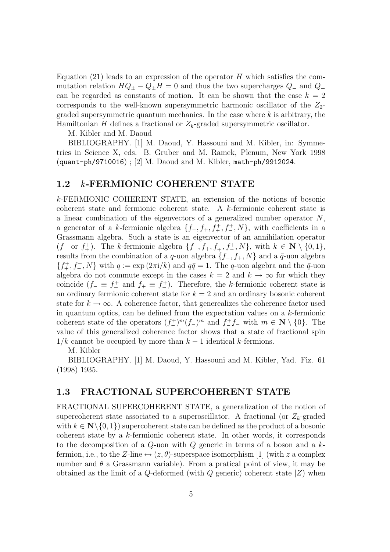Equation  $(21)$  leads to an expression of the operator H which satisfies the commutation relation  $HQ_{\pm} - Q_{\pm}H = 0$  and thus the two supercharges  $Q_{-}$  and  $Q_{+}$ can be regarded as constants of motion. It can be shown that the case  $k = 2$ corresponds to the well-known supersymmetric harmonic oscillator of the  $Z_2$ graded supersymmetric quantum mechanics. In the case where  $k$  is arbitrary, the Hamiltonian H defines a fractional or  $Z_k$ -graded supersymmetric oscillator.

M. Kibler and M. Daoud

BIBLIOGRAPHY. [1] M. Daoud, Y. Hassouni and M. Kibler, in: Symmetries in Science X, eds. B. Gruber and M. Ramek, Plenum, New York 1998 (quant-ph/9710016) ; [2] M. Daoud and M. Kibler, math-ph/9912024.

### 1.2 k-FERMIONIC COHERENT STATE

k-FERMIONIC COHERENT STATE, an extension of the notions of bosonic coherent state and fermionic coherent state. A k-fermionic coherent state is a linear combination of the eigenvectors of a generalized number operator N, a generator of a k-fermionic algebra  $\{f_-, f_+, f_+^+, f_-^+, N\}$ , with coefficients in a Grassmann algebra. Such a state is an eigenvector of an annihilation operator  $(f_$  or  $f_+^+$ ). The k-fermionic algebra  $\{f_-, f_+, f_+^+, f_-^+, N\}$ , with  $k \in \mathbb{N} \setminus \{0, 1\}$ , results from the combination of a q-uon algebra  $\{f_-, f_+, N\}$  and a  $\bar{q}$ -uon algebra  $\{f_+^+, f_-^+, N\}$  with  $q := \exp(2\pi i/k)$  and  $q\bar{q} = 1$ . The q-uon algebra and the  $\bar{q}$ -uon algebra do not commute except in the cases  $k = 2$  and  $k \to \infty$  for which they coincide  $(f_-\equiv f_+^+)$  and  $f_+\equiv f_-^+$ ). Therefore, the k-fermionic coherent state is an ordinary fermionic coherent state for  $k = 2$  and an ordinary bosonic coherent state for  $k \to \infty$ . A coherence factor, that generealizes the coherence factor used in quantum optics, can be defined from the expectation values on a  $k$ -fermionic coherent state of the operators  $(f_{-}^{+})^m (f_{-})^m$  and  $f_{-}^{+} f_{-}$  with  $m \in \mathbb{N} \setminus \{0\}$ . The value of this generalized coherence factor shows that a state of fractional spin  $1/k$  cannot be occupied by more than  $k-1$  identical k-fermions.

M. Kibler

BIBLIOGRAPHY. [1] M. Daoud, Y. Hassouni and M. Kibler, Yad. Fiz. 61 (1998) 1935.

#### 1.3 FRACTIONAL SUPERCOHERENT STATE

FRACTIONAL SUPERCOHERENT STATE, a generalization of the notion of supercoherent state associated to a superoscillator. A fractional (or  $Z_k$ -graded with  $k \in \mathbb{N} \setminus \{0, 1\}$  supercoherent state can be defined as the product of a bosonic coherent state by a k-fermionic coherent state. In other words, it corresponds to the decomposition of a  $Q$ -uon with  $Q$  generic in terms of a boson and a  $k$ fermion, i.e., to the Z-line  $\leftrightarrow (z, \theta)$ -superspace isomorphism [1] (with z a complex number and  $\theta$  a Grassmann variable). From a pratical point of view, it may be obtained as the limit of a  $Q$ -deformed (with  $Q$  generic) coherent state  $|Z|$  when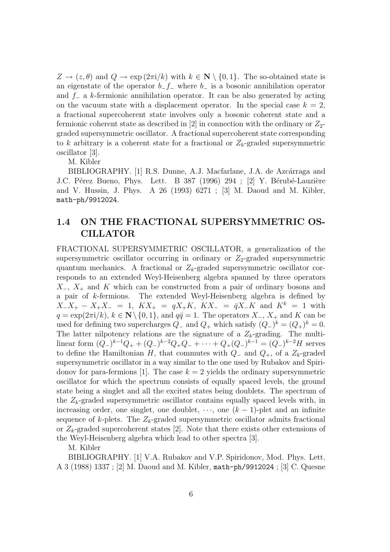$Z \to (z, \theta)$  and  $Q \to \exp(2\pi i/k)$  with  $k \in \mathbb{N} \setminus \{0, 1\}$ . The so-obtained state is an eigenstate of the operator  $b-f_-\,$  where  $b_-\,$  is a bosonic annihilation operator and  $f_$  a k-fermionic annihilation operator. It can be also generated by acting on the vacuum state with a displacement operator. In the special case  $k = 2$ , a fractional supercoherent state involves only a bosonic coherent state and a fermionic coherent state as described in [2] in connection with the ordinary or  $Z_2$ graded supersymmetric oscillator. A fractional supercoherent state corresponding to k arbitrary is a coherent state for a fractional or  $Z_k$ -graded supersymmetric oscillator [3].

M. Kibler

BIBLIOGRAPHY. [1] R.S. Dunne, A.J. Macfarlane, J.A. de Azcárraga and J.C. Pérez Bueno, Phys. Lett. B 387 (1996) 294 ; [2] Y. Bérubé-Lauzière and V. Hussin, J. Phys. A 26 (1993) 6271 ; [3] M. Daoud and M. Kibler, math-ph/9912024.

# 1.4 ON THE FRACTIONAL SUPERSYMMETRIC OS-CILLATOR

FRACTIONAL SUPERSYMMETRIC OSCILLATOR, a generalization of the supersymmetric oscillator occurring in ordinary or  $Z_2$ -graded supersymmetric quantum mechanics. A fractional or  $Z_k$ -graded supersymmetric oscillator corresponds to an extended Weyl-Heisenberg algebra spanned by three operators  $X_-, X_+$  and K which can be constructed from a pair of ordinary bosons and a pair of k-fermions. The extended Weyl-Heisenberg algebra is defined by  $X_1 - X_2 - X_3 = 1$ ,  $K X_1 = qX_1 - K X_4 = \overline{q} X_1 - K$  and  $K^k = 1$  with  $q = \exp(2\pi i/k), k \in \mathbb{N}\setminus\{0, 1\},$  and  $q\bar{q} = 1$ . The operators  $X_-, X_+$  and K can be used for defining two supercharges  $Q_{-}$  and  $Q_{+}$  which satisfy  $(Q_{-})^k = (Q_{+})^k = 0$ . The latter nilpotency relations are the signature of a  $Z_k$ -grading. The multilinear form  $(Q_-)^{k-1}Q_+ + (Q_-)^{k-2}Q_+Q_- + \cdots + Q_+(Q_-)^{k-1} = (Q_-)^{k-2}H$  serves to define the Hamiltonian H, that commutes with  $Q_-\$  and  $Q_+$ , of a  $Z_k$ -graded supersymmetric oscillator in a way similar to the one used by Rubakov and Spiridonov for para-fermions [1]. The case  $k = 2$  yields the ordinary supersymmetric oscillator for which the spectrum consists of equally spaced levels, the ground state being a singlet and all the excited states being doublets. The spectrum of the  $Z_k$ -graded supersymmetric oscillator contains equally spaced levels with, in increasing order, one singlet, one doublet,  $\cdots$ , one  $(k-1)$ -plet and an infinite sequence of k-plets. The  $Z_k$ -graded supersymmetric oscillator admits fractional or  $Z_k$ -graded supercoherent states [2]. Note that there exists other extensions of the Weyl-Heisenberg algebra which lead to other spectra [3].

M. Kibler

BIBLIOGRAPHY. [1] V.A. Rubakov and V.P. Spiridonov, Mod. Phys. Lett. A 3 (1988) 1337 ; [2] M. Daoud and M. Kibler, math-ph/9912024 ; [3] C. Quesne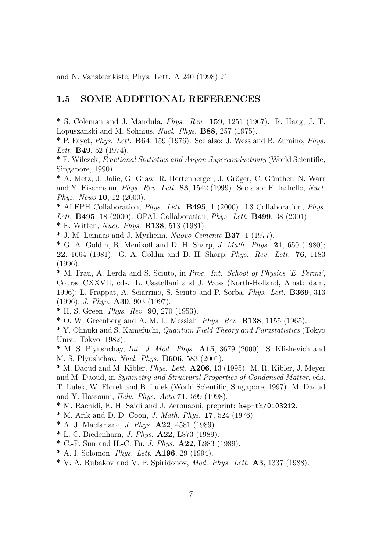and N. Vansteenkiste, Phys. Lett. A 240 (1998) 21.

## 1.5 SOME ADDITIONAL REFERENCES

\* S. Coleman and J. Mandula, Phys. Rev. 159, 1251 (1967). R. Haag, J. T. Lopuszanski and M. Sohnius, Nucl. Phys. B88, 257 (1975).

\* P. Fayet, *Phys. Lett.* **B64**, 159 (1976). See also: J. Wess and B. Zumino, *Phys.* Lett. **B49**, 52 (1974).

\* F. Wilczek, Fractional Statistics and Anyon Superconductivity (World Scientific, Singapore, 1990).

\* A. Metz, J. Jolie, G. Graw, R. Hertenberger, J. Gröger, C. Günther, N. Warr and Y. Eisermann, Phys. Rev. Lett. 83, 1542 (1999). See also: F. Iachello, Nucl. Phys. News 10, 12 (2000).

\* ALEPH Collaboration, Phys. Lett. B495, 1 (2000). L3 Collaboration, Phys. Lett. **B495**, 18 (2000). OPAL Collaboration, *Phys. Lett.* **B499**, 38 (2001).

\* E. Witten, Nucl. Phys. B138, 513 (1981).

\* J. M. Leinaas and J. Myrheim, Nuovo Cimento B37, 1 (1977).

\* G. A. Goldin, R. Menikoff and D. H. Sharp, *J. Math. Phys.* 21, 650 (1980); 22, 1664 (1981). G. A. Goldin and D. H. Sharp, Phys. Rev. Lett. 76, 1183 (1996).

\* M. Frau, A. Lerda and S. Sciuto, in Proc. Int. School of Physics 'E. Fermi', Course CXXVII, eds. L. Castellani and J. Wess (North-Holland, Amsterdam, 1996); L. Frappat, A. Sciarrino, S. Sciuto and P. Sorba, Phys. Lett. B369, 313 (1996); J. Phys. A30, 903 (1997).

\* H. S. Green, Phys. Rev. 90, 270 (1953).

\* O. W. Greenberg and A. M. L. Messiah, Phys. Rev. B138, 1155 (1965).

\* Y. Ohnuki and S. Kamefuchi, Quantum Field Theory and Parastatistics (Tokyo Univ., Tokyo, 1982).

\* M. S. Plyushchay, Int. J. Mod. Phys. A15, 3679 (2000). S. Klishevich and M. S. Plyushchay, Nucl. Phys. B606, 583 (2001).

 $*$  M. Daoud and M. Kibler, *Phys. Lett.*  $A206$ , 13 (1995). M. R. Kibler, J. Meyer and M. Daoud, in Symmetry and Structural Properties of Condensed Matter, eds. T. Lulek, W. Florek and B. Lulek (World Scientific, Singapore, 1997). M. Daoud and Y. Hassouni, Helv. Phys. Acta 71, 599 (1998).

\* M. Rachidi, E. H. Saidi and J. Zerouaoui, preprint: hep-th/0103212.

\* M. Arik and D. D. Coon, J. Math. Phys. 17, 524 (1976).

- \* A. J. Macfarlane, J. Phys. A22, 4581 (1989).
- \* L. C. Biedenharn, J. Phys. A22, L873 (1989).
- \* C.-P. Sun and H.-C. Fu, J. Phys. A22, L983 (1989).
- \* A. I. Solomon, Phys. Lett. A196, 29 (1994).
- \* V. A. Rubakov and V. P. Spiridonov, Mod. Phys. Lett. A3, 1337 (1988).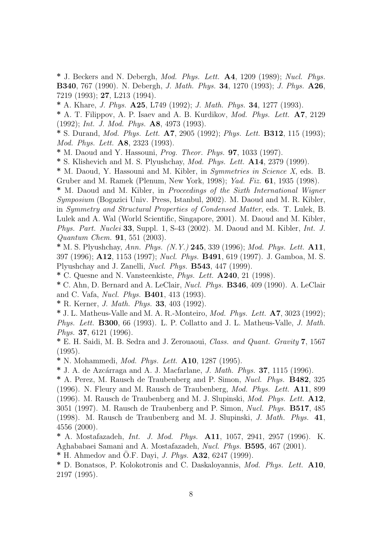\* J. Beckers and N. Debergh, *Mod. Phys. Lett.*  $\mathbf{A4}$ , 1209 (1989); *Nucl. Phys.* B340, 767 (1990). N. Debergh, J. Math. Phys. 34, 1270 (1993); J. Phys. A26, 7219 (1993); 27, L213 (1994).

\* A. Khare, J. Phys. A25, L749 (1992); J. Math. Phys. 34, 1277 (1993).

\* A. T. Filippov, A. P. Isaev and A. B. Kurdikov, Mod. Phys. Lett. A7, 2129 (1992); Int. J. Mod. Phys. A8, 4973 (1993).

\* S. Durand, Mod. Phys. Lett. A7, 2905 (1992); Phys. Lett. B312, 115 (1993); Mod. Phys. Lett. A8, 2323 (1993).

\* M. Daoud and Y. Hassouni, Prog. Theor. Phys. 97, 1033 (1997).

\* S. Klishevich and M. S. Plyushchay, Mod. Phys. Lett. A14, 2379 (1999).

\* M. Daoud, Y. Hassouni and M. Kibler, in Symmetries in Science X, eds. B. Gruber and M. Ramek (Plenum, New York, 1998); Yad. Fiz. 61, 1935 (1998).

\* M. Daoud and M. Kibler, in Proceedings of the Sixth International Wigner Symposium (Bogazici Univ. Press, Istanbul, 2002). M. Daoud and M. R. Kibler, in Symmetry and Structural Properties of Condensed Matter, eds. T. Lulek, B. Lulek and A. Wal (World Scientific, Singapore, 2001). M. Daoud and M. Kibler, Phys. Part. Nuclei 33, Suppl. 1, S-43 (2002). M. Daoud and M. Kibler, Int. J. Quantum Chem. 91, 551 (2003).

\* M. S. Plyushchay, Ann. Phys.  $(N, Y, 245, 339, 1996)$ ; Mod. Phys. Lett. A11, 397 (1996); A12, 1153 (1997); Nucl. Phys. B491, 619 (1997). J. Gamboa, M. S. Plyushchay and J. Zanelli, Nucl. Phys. B543, 447 (1999).

 $*$  C. Quesne and N. Vansteenkiste, *Phys. Lett.* **A240**, 21 (1998).

\* C. Ahn, D. Bernard and A. LeClair, Nucl. Phys. B346, 409 (1990). A. LeClair and C. Vafa, Nucl. Phys. B401, 413 (1993).

\* R. Kerner, J. Math. Phys. 33, 403 (1992).

 $*$  J. L. Matheus-Valle and M. A. R.-Monteiro, *Mod. Phys. Lett.*  $A7$ , 3023 (1992); Phys. Lett. B300, 66 (1993). L. P. Collatto and J. L. Matheus-Valle, J. Math. Phys. 37, 6121 (1996).

\* E. H. Saidi, M. B. Sedra and J. Zerouaoui, Class. and Quant. Gravity 7, 1567 (1995).

\* N. Mohammedi, Mod. Phys. Lett. A10, 1287 (1995).

 $*$  J. A. de Azcárraga and A. J. Macfarlane, *J. Math. Phys.* **37**, 1115 (1996).

\* A. Perez, M. Rausch de Traubenberg and P. Simon, Nucl. Phys. B482, 325 (1996). N. Fleury and M. Rausch de Traubenberg, Mod. Phys. Lett. A11, 899 (1996). M. Rausch de Traubenberg and M. J. Slupinski, Mod. Phys. Lett. A12, 3051 (1997). M. Rausch de Traubenberg and P. Simon, Nucl. Phys. B517, 485 (1998). M. Rausch de Traubenberg and M. J. Slupinski, J. Math. Phys. 41, 4556 (2000).

\* A. Mostafazadeh, Int. J. Mod. Phys. A11, 1057, 2941, 2957 (1996). K. Aghababaei Samani and A. Mostafazadeh, Nucl. Phys. B595, 467 (2001).

\* H. Ahmedov and Ö.F. Davi, *J. Phys.*  $\mathbf{A32}$ , 6247 (1999).

\* D. Bonatsos, P. Kolokotronis and C. Daskaloyannis, Mod. Phys. Lett. A10, 2197 (1995).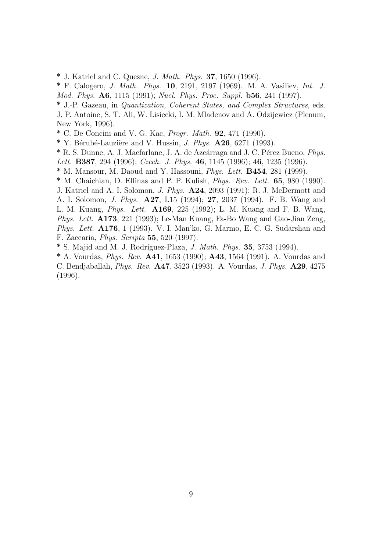\* J. Katriel and C. Quesne, J. Math. Phys. 37, 1650 (1996).

\* F. Calogero, J. Math. Phys. 10, 2191, 2197 (1969). M. A. Vasiliev, Int. J. Mod. Phys. A6, 1115 (1991); Nucl. Phys. Proc. Suppl. b56, 241 (1997).

\* J.-P. Gazeau, in Quantization, Coherent States, and Complex Structures, eds. J. P. Antoine, S. T. Ali, W. Lisiecki, I. M. Mladenov and A. Odzijewicz (Plenum,

New York, 1996).

\* C. De Concini and V. G. Kac, Progr. Math. 92, 471 (1990).

 $*$  Y. Bérubé-Lauzière and V. Hussin, *J. Phys.*  $\mathbf{A26}$ , 6271 (1993).

\* R. S. Dunne, A. J. Macfarlane, J. A. de Azcárraga and J. C. Pérez Bueno, *Phys.* 

Lett. **B387**, 294 (1996); Czech. J. Phys. 46, 1145 (1996); 46, 1235 (1996).

\* M. Mansour, M. Daoud and Y. Hassouni, Phys. Lett. B454, 281 (1999).

\* M. Chaichian, D. Ellinas and P. P. Kulish, Phys. Rev. Lett. 65, 980 (1990).

J. Katriel and A. I. Solomon, J. Phys. A24, 2093 (1991); R. J. McDermott and A. I. Solomon, J. Phys. A27, L15 (1994); 27, 2037 (1994). F. B. Wang and L. M. Kuang, Phys. Lett. A169, 225 (1992); L. M. Kuang and F. B. Wang, Phys. Lett. A173, 221 (1993); Le-Man Kuang, Fa-Bo Wang and Gao-Jian Zeng, Phys. Lett. A176, 1 (1993). V. I. Man'ko, G. Marmo, E. C. G. Sudarshan and F. Zaccaria, Phys. Scripta 55, 520 (1997).

 $*$  S. Majid and M. J. Rodríguez-Plaza, *J. Math. Phys.* **35**, 3753 (1994).

\* A. Vourdas, Phys. Rev. A41, 1653 (1990); A43, 1564 (1991). A. Vourdas and C. Bendjaballah, Phys. Rev. A47, 3523 (1993). A. Vourdas, J. Phys. A29, 4275 (1996).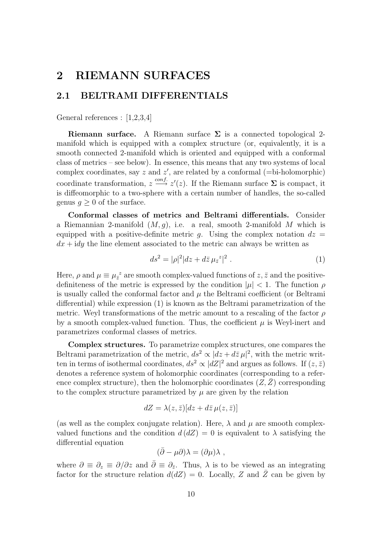# 2 RIEMANN SURFACES

# 2.1 BELTRAMI DIFFERENTIALS

General references : [1,2,3,4]

**Riemann surface.** A Riemann surface  $\Sigma$  is a connected topological 2manifold which is equipped with a complex structure (or, equivalently, it is a smooth connected 2-manifold which is oriented and equipped with a conformal class of metrics – see below). In essence, this means that any two systems of local complex coordinates, say  $z$  and  $z'$ , are related by a conformal (=bi-holomorphic) coordinate transformation,  $z \stackrel{conf.}{\longrightarrow} z'(z)$ . If the Riemann surface  $\Sigma$  is compact, it is diffeomorphic to a two-sphere with a certain number of handles, the so-called genus  $q > 0$  of the surface.

Conformal classes of metrics and Beltrami differentials. Consider a Riemannian 2-manifold  $(M, g)$ , i.e. a real, smooth 2-manifold M which is equipped with a positive-definite metric g. Using the complex notation  $dz =$  $dx + idy$  the line element associated to the metric can always be written as

$$
ds^{2} = |\rho|^{2} |dz + d\bar{z} \,\mu_{\bar{z}}^{z}|^{2} . \tag{1}
$$

Here,  $\rho$  and  $\mu \equiv \mu_{\bar{z}}^z$  are smooth complex-valued functions of  $z, \bar{z}$  and the positivedefiniteness of the metric is expressed by the condition  $|\mu| < 1$ . The function  $\rho$ is usually called the conformal factor and  $\mu$  the Beltrami coefficient (or Beltrami differential) while expression (1) is known as the Beltrami parametrization of the metric. Weyl transformations of the metric amount to a rescaling of the factor  $\rho$ by a smooth complex-valued function. Thus, the coefficient  $\mu$  is Weyl-inert and parametrizes conformal classes of metrics.

Complex structures. To parametrize complex structures, one compares the Beltrami parametrization of the metric,  $ds^2 \propto |dz + d\overline{z} \,\mu|^2$ , with the metric written in terms of isothermal coordinates,  $ds^2 \propto |dZ|^2$  and argues as follows. If  $(z, \bar{z})$ denotes a reference system of holomorphic coordinates (corresponding to a reference complex structure), then the holomorphic coordinates  $(Z, \bar{Z})$  corresponding to the complex structure parametrized by  $\mu$  are given by the relation

$$
dZ = \lambda(z, \bar{z})[dz + d\bar{z} \,\mu(z, \bar{z})]
$$

(as well as the complex conjugate relation). Here,  $\lambda$  and  $\mu$  are smooth complexvalued functions and the condition  $d(dZ) = 0$  is equivalent to  $\lambda$  satisfying the differential equation

$$
(\bar{\partial}-\mu\partial)\lambda=(\partial\mu)\lambda\ ,
$$

where  $\partial \equiv \partial_z \equiv \partial/\partial z$  and  $\bar{\partial} \equiv \partial_{\bar{z}}$ . Thus,  $\lambda$  is to be viewed as an integrating factor for the structure relation  $d(dZ) = 0$ . Locally, Z and  $\overline{Z}$  can be given by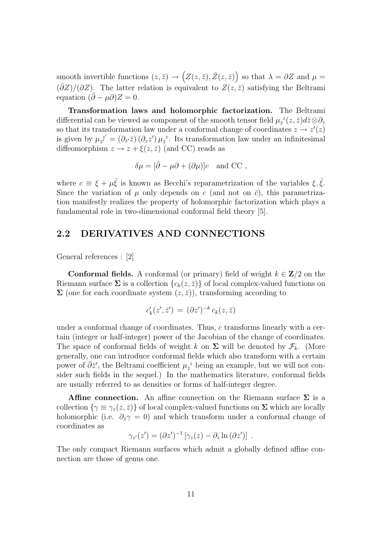smooth invertible functions  $(z, \bar{z}) \to (Z(z, \bar{z}), \bar{Z}(z, \bar{z}))$  so that  $\lambda = \partial Z$  and  $\mu =$  $(\bar{\partial}Z)/(\partial Z)$ . The latter relation is equivalent to  $Z(z, \bar{z})$  satisfying the Beltrami equation  $(\bar{\partial} - \mu \partial)Z = 0$ .

Transformation laws and holomorphic factorization. The Beltrami differential can be viewed as component of the smooth tensor field  $\mu_{\bar{z}}^{z}(z,\bar{z})d\bar{z} \otimes \partial_{z}$ so that its transformation law under a conformal change of coordinates  $z \to z'(z)$ is given by  $\mu_{\bar{z}'}^{z'}$  $z_{\bar{z}}^{z'} = (\partial_{\bar{z}} z)(\partial_z z') \mu_{\bar{z}}^z$ . Its transformation law under an infinitesimal diffeomorphism  $z \to z + \xi(z, \bar{z})$  (and CC) reads as

$$
\delta\mu = [\bar{\partial} - \mu \partial + (\partial \mu)]c \text{ and CC },
$$

where  $c \equiv \xi + \mu \bar{\xi}$  is known as Becchi's reparametrization of the variables  $\xi, \bar{\xi}$ . Since the variation of  $\mu$  only depends on c (and not on  $\bar{c}$ ), this parametrization manifestly realizes the property of holomorphic factorization which plays a fundamental role in two-dimensional conformal field theory [5].

# 2.2 DERIVATIVES AND CONNECTIONS

General references : [2]

**Conformal fields.** A conformal (or primary) field of weight  $k \in \mathbb{Z}/2$  on the Riemann surface  $\Sigma$  is a collection  $\{c_k(z,\bar{z})\}$  of local complex-valued functions on  $\Sigma$  (one for each coordinate system  $(z, \bar{z})$ ), transforming according to

$$
c'_k(z',\bar{z}') = (\partial z')^{-k} c_k(z,\bar{z})
$$

under a conformal change of coordinates. Thus, c transforms linearly with a certain (integer or half-integer) power of the Jacobian of the change of coordinates. The space of conformal fields of weight k on  $\Sigma$  will be denoted by  $\mathcal{F}_k$ . (More generally, one can introduce conformal fields which also transform with a certain power of  $\bar{\partial}\bar{z}'$ , the Beltrami coefficient  $\mu_{\bar{z}}^z$  being an example, but we will not consider such fields in the sequel.) In the mathematics literature, conformal fields are usually referred to as densities or forms of half-integer degree.

**Affine connection.** An affine connection on the Riemann surface  $\Sigma$  is a collection  $\{\gamma \equiv \gamma_z(z,\bar{z})\}$  of local complex-valued functions on  $\Sigma$  which are locally holomorphic (i.e.  $\partial_{\bar{z}}\gamma=0$ ) and which transform under a conformal change of coordinates as

$$
\gamma_{z'}(z') = (\partial z')^{-1} \left[ \gamma_z(z) - \partial_z \ln(\partial z') \right] .
$$

The only compact Riemann surfaces which admit a globally defined affine connection are those of genus one.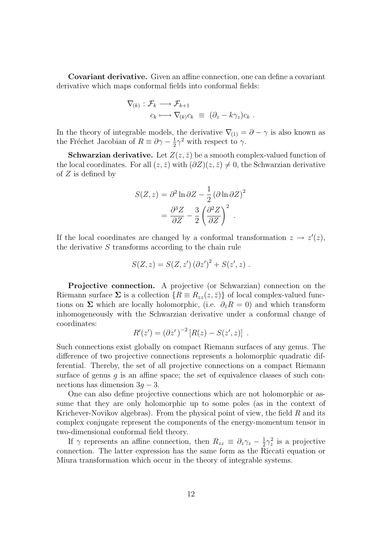Covariant derivative. Given an affine connection, one can define a covariant derivative which maps conformal fields into conformal fields:

$$
\nabla_{(k)} : \mathcal{F}_k \longrightarrow \mathcal{F}_{k+1} \n c_k \longmapsto \nabla_{(k)} c_k \equiv (\partial_z - k \gamma_z) c_k .
$$

In the theory of integrable models, the derivative  $\nabla_{(1)} = \partial - \gamma$  is also known as the Fréchet Jacobian of  $R \equiv \partial \gamma - \frac{1}{2}$  $\frac{1}{2}\gamma^2$  with respect to  $\gamma$ .

**Schwarzian derivative.** Let  $Z(z, \bar{z})$  be a smooth complex-valued function of the local coordinates. For all  $(z, \bar{z})$  with  $(\partial Z)(z, \bar{z}) \neq 0$ , the Schwarzian derivative of  $Z$  is defined by

$$
S(Z, z) = \partial^2 \ln \partial Z - \frac{1}{2} (\partial \ln \partial Z)^2
$$

$$
= \frac{\partial^3 Z}{\partial Z} - \frac{3}{2} \left( \frac{\partial^2 Z}{\partial Z} \right)^2.
$$

If the local coordinates are changed by a conformal transformation  $z \to z'(z)$ , the derivative  $S$  transforms according to the chain rule

$$
S(Z, z) = S(Z, z') (\partial z')^{2} + S(z', z) .
$$

Projective connection. A projective (or Schwarzian) connection on the Riemann surface  $\Sigma$  is a collection  $\{R \equiv R_{zz}(z, \bar{z})\}$  of local complex-valued functions on  $\Sigma$  which are locally holomorphic, (i.e.  $\partial_{\bar{z}}R = 0$ ) and which transform inhomogeneously with the Schwarzian derivative under a conformal change of coordinates:

$$
R'(z') = (\partial z')^{-2} [R(z) - S(z', z)] .
$$

Such connections exist globally on compact Riemann surfaces of any genus. The difference of two projective connections represents a holomorphic quadratic differential. Thereby, the set of all projective connections on a compact Riemann surface of genus  $g$  is an affine space; the set of equivalence classes of such connections has dimension  $3g - 3$ .

One can also define projective connections which are not holomorphic or assume that they are only holomorphic up to some poles (as in the context of Krichever-Novikov algebras). From the physical point of view, the field  $R$  and its complex conjugate represent the components of the energy-momentum tensor in two-dimensional conformal field theory.

If  $\gamma$  represents an affine connection, then  $R_{zz} \equiv \partial_z \gamma_z - \frac{1}{2}$  $\frac{1}{2}\gamma_z^2$  is a projective connection. The latter expression has the same form as the Riccati equation or Miura transformation which occur in the theory of integrable systems.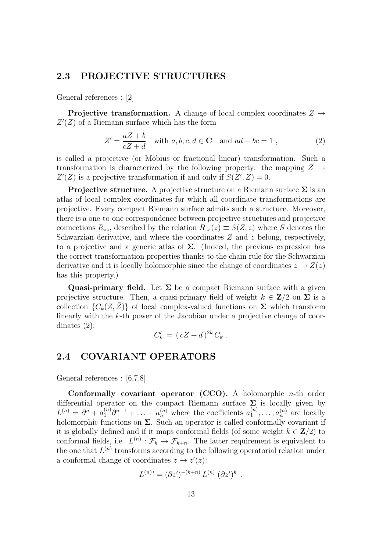### 2.3 PROJECTIVE STRUCTURES

General references : [2]

**Projective transformation.** A change of local complex coordinates  $Z \rightarrow$  $Z'(Z)$  of a Riemann surface which has the form

$$
Z' = \frac{aZ + b}{cZ + d} \quad \text{with } a, b, c, d \in \mathbf{C} \quad \text{and } ad - bc = 1 ,
$$
 (2)

is called a projective (or Möbius or fractional linear) transformation. Such a transformation is characterized by the following property: the mapping  $Z \rightarrow$  $Z'(Z)$  is a projective transformation if and only if  $S(Z', Z) = 0$ .

**Projective structure.** A projective structure on a Riemann surface  $\Sigma$  is an atlas of local complex coordinates for which all coordinate transformations are projective. Every compact Riemann surface admits such a structure. Moreover, there is a one-to-one correspondence between projective structures and projective connections  $R_{zz}$ , described by the relation  $R_{zz}(z) \equiv S(Z, z)$  where S denotes the Schwarzian derivative, and where the coordinates  $Z$  and  $z$  belong, respectively, to a projective and a generic atlas of  $\Sigma$ . (Indeed, the previous expression has the correct transformation properties thanks to the chain rule for the Schwarzian derivative and it is locally holomorphic since the change of coordinates  $z \to Z(z)$ has this property.)

Quasi-primary field. Let  $\Sigma$  be a compact Riemann surface with a given projective structure. Then, a quasi-primary field of weight  $k \in \mathbb{Z}/2$  on  $\Sigma$  is a collection  $\{C_k(Z,\bar{Z})\}$  of local complex-valued functions on  $\Sigma$  which transform linearly with the k-th power of the Jacobian under a projective change of coordinates (2):

$$
C'_k = (cZ + d)^{2k} C_k.
$$

## 2.4 COVARIANT OPERATORS

General references : [6,7,8]

Conformally covariant operator (CCO). A holomorphic n-th order differential operator on the compact Riemann surface  $\Sigma$  is locally given by  $L^{(n)} = \partial^n + a_1^{(n)} \partial^{n-1} + \ldots + a_n^{(n)}$  where the coefficients  $a_1^{(n)}$  $a_1^{(n)}, \ldots, a_n^{(n)}$  are locally holomorphic functions on  $\Sigma$ . Such an operator is called conformally covariant if it is globally defined and if it maps conformal fields (of some weight  $k \in \mathbb{Z}/2$ ) to conformal fields, i.e.  $L^{(n)} : \mathcal{F}_k \to \mathcal{F}_{k+n}$ . The latter requirement is equivalent to the one that  $L^{(n)}$  transforms according to the following operatorial relation under a conformal change of coordinates  $z \to z'(z)$ :

$$
L^{(n)\'} = (\partial z')^{-(k+n)} L^{(n)} (\partial z')^k .
$$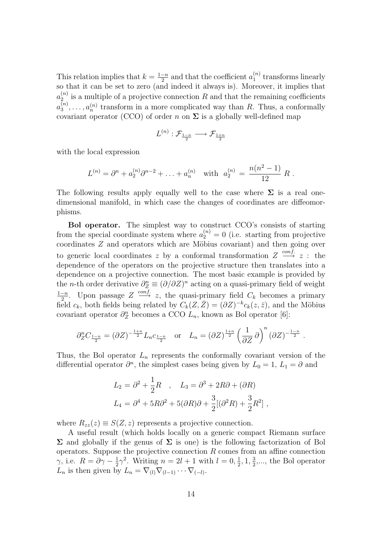This relation implies that  $k = \frac{1-n}{2}$  $\frac{-n}{2}$  and that the coefficient  $a_1^{(n)}$  $\int_1^{(n)}$  transforms linearly so that it can be set to zero (and indeed it always is). Moreover, it implies that  $a_2^{(n)}$  $\binom{n}{2}$  is a multiple of a projective connection R and that the remaining coefficients  $a_3^{(n)}$  $a_3^{(n)}, \ldots, a_n^{(n)}$  transform in a more complicated way than R. Thus, a conformally covariant operator (CCO) of order n on  $\Sigma$  is a globally well-defined map

$$
L^{(n)}: \mathcal{F}_{\frac{1-n}{2}} \longrightarrow \mathcal{F}_{\frac{1+n}{2}}
$$

with the local expression

$$
L^{(n)} = \partial^n + a_2^{(n)} \partial^{n-2} + \ldots + a_n^{(n)} \quad \text{with} \quad a_2^{(n)} = \frac{n(n^2 - 1)}{12} R \; .
$$

The following results apply equally well to the case where  $\Sigma$  is a real onedimensional manifold, in which case the changes of coordinates are diffeomorphisms.

Bol operator. The simplest way to construct CCO's consists of starting from the special coordinate system where  $a_2^{(n)} = 0$  (i.e. starting from projective coordinates  $Z$  and operators which are Möbius covariant) and then going over to generic local coordinates z by a conformal transformation  $Z \stackrel{conf.}{\longrightarrow} z$ : the dependence of the operators on the projective structure then translates into a dependence on a projective connection. The most basic example is provided by the *n*-th order derivative  $\partial_Z^n \equiv (\partial/\partial Z)^n$  acting on a quasi-primary field of weight  $1-n$  $\frac{-n}{2}$ . Upon passage  $Z \stackrel{conf.}{\longrightarrow} z$ , the quasi-primary field  $C_k$  becomes a primary field  $c_k$ , both fields being related by  $C_k(Z,\overline{Z}) = (\partial Z)^{-k} c_k(z,\overline{z})$ , and the Möbius covariant operator  $\partial_z^n$  becomes a CCO  $L_n$ , known as Bol operator [6]:

$$
\partial_Z^n C_{\frac{1-n}{2}} = (\partial Z)^{-\frac{1+n}{2}} L_n c_{\frac{1-n}{2}} \quad \text{or} \quad L_n = (\partial Z)^{\frac{1+n}{2}} \left(\frac{1}{\partial Z} \partial\right)^n (\partial Z)^{-\frac{1-n}{2}}.
$$

Thus, the Bol operator  $L_n$  represents the conformally covariant version of the differential operator  $\partial^n$ , the simplest cases being given by  $L_0 = 1, L_1 = \partial$  and

$$
L_2 = \partial^2 + \frac{1}{2}R \quad , \quad L_3 = \partial^3 + 2R\partial + (\partial R)
$$
  

$$
L_4 = \partial^4 + 5R\partial^2 + 5(\partial R)\partial + \frac{3}{2}[(\partial^2 R) + \frac{3}{2}R^2] \quad ,
$$

where  $R_{zz}(z) \equiv S(Z, z)$  represents a projective connection.

A useful result (which holds locally on a generic compact Riemann surface  $\Sigma$  and globally if the genus of  $\Sigma$  is one) is the following factorization of Bol operators. Suppose the projective connection  $R$  comes from an affine connection  $\gamma$ , i.e.  $R = \partial \gamma - \frac{1}{2}$  $\frac{1}{2}\gamma^2$ . Writing  $n = 2l + 1$  with  $l = 0, \frac{1}{2}$  $\frac{1}{2}$ , 1,  $\frac{3}{2}$  $\frac{3}{2}, \ldots$ , the Bol operator  $L_n$  is then given by  $L_n = \nabla_{(l)} \nabla_{(l-1)} \cdots \nabla_{(-l)}$ .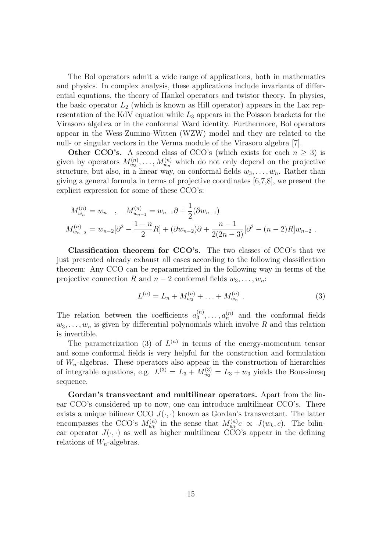The Bol operators admit a wide range of applications, both in mathematics and physics. In complex analysis, these applications include invariants of differential equations, the theory of Hankel operators and twistor theory. In physics, the basic operator  $L_2$  (which is known as Hill operator) appears in the Lax representation of the KdV equation while  $L_3$  appears in the Poisson brackets for the Virasoro algebra or in the conformal Ward identity. Furthermore, Bol operators appear in the Wess-Zumino-Witten (WZW) model and they are related to the null- or singular vectors in the Verma module of the Virasoro algebra [7].

**Other CCO's.** A second class of CCO's (which exists for each  $n \geq 3$ ) is given by operators  $M_{w_3}^{(n)}, \ldots, M_{w_n}^{(n)}$  which do not only depend on the projective structure, but also, in a linear way, on conformal fields  $w_3, \ldots, w_n$ . Rather than giving a general formula in terms of projective coordinates [6,7,8], we present the explicit expression for some of these CCO's:

$$
M_{w_n}^{(n)} = w_n , \quad M_{w_{n-1}}^{(n)} = w_{n-1}\partial + \frac{1}{2}(\partial w_{n-1})
$$
  

$$
M_{w_{n-2}}^{(n)} = w_{n-2}[\partial^2 - \frac{1-n}{2}R] + (\partial w_{n-2})\partial + \frac{n-1}{2(2n-3)}[\partial^2 - (n-2)R]w_{n-2}.
$$

Classification theorem for CCO's. The two classes of CCO's that we just presented already exhaust all cases according to the following classification theorem: Any CCO can be reparametrized in the following way in terms of the projective connection R and  $n-2$  conformal fields  $w_3, \ldots, w_n$ :

$$
L^{(n)} = L_n + M_{w_3}^{(n)} + \ldots + M_{w_n}^{(n)} \tag{3}
$$

The relation between the coefficients  $a_3^{(n)}$  $a_3^{(n)}, \ldots, a_n^{(n)}$  and the conformal fields  $w_3, \ldots, w_n$  is given by differential polynomials which involve R and this relation is invertible.

The parametrization (3) of  $L^{(n)}$  in terms of the energy-momentum tensor and some conformal fields is very helpful for the construction and formulation of  $W_n$ -algebras. These operators also appear in the construction of hierarchies of integrable equations, e.g.  $L^{(3)} = L_3 + M_{w_3}^{(3)} = L_3 + w_3$  yields the Boussinesq sequence.

Gordan's transvectant and multilinear operators. Apart from the linear CCO's considered up to now, one can introduce multilinear CCO's. There exists a unique bilinear CCO  $J(\cdot, \cdot)$  known as Gordan's transvectant. The latter encompasses the CCO's  $M_{w_k}^{(n)}$  in the sense that  $M_{w_k}^{(n)}c \propto J(w_k, c)$ . The bilinear operator  $J(\cdot, \cdot)$  as well as higher multilinear CCO's appear in the defining relations of  $W_n$ -algebras.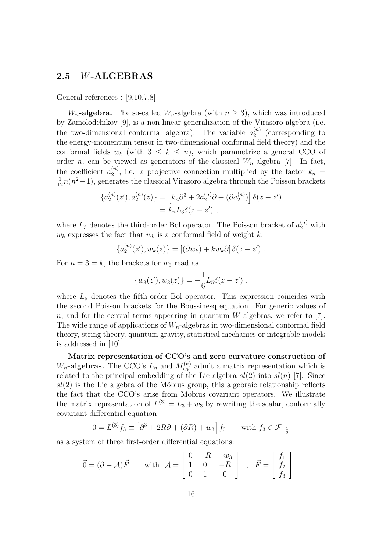## 2.5 W-ALGEBRAS

General references : [9,10,7,8]

 $W_n$ -algebra. The so-called  $W_n$ -algebra (with  $n \geq 3$ ), which was introduced by Zamolodchikov [9], is a non-linear generalization of the Virasoro algebra (i.e. the two-dimensional conformal algebra). The variable  $a_2^{(n)}$  $2^{(n)}$  (corresponding to the energy-momentum tensor in two-dimensional conformal field theory) and the conformal fields  $w_k$  (with  $3 \leq k \leq n$ ), which parametrize a general CCO of order *n*, can be viewed as generators of the classical  $W_n$ -algebra [7]. In fact, the coefficient  $a_2^{(n)}$  $\binom{n}{2}$ , i.e. a projective connection multiplied by the factor  $k_n =$  $\frac{1}{12}n(n^2-1)$ , generates the classical Virasoro algebra through the Poisson brackets

$$
\{a_2^{(n)}(z'), a_2^{(n)}(z)\} = [k_n \partial^3 + 2a_2^{(n)} \partial + (\partial a_2^{(n)})] \delta(z - z')
$$
  
=  $k_n L_3 \delta(z - z')$ ,

where  $L_3$  denotes the third-order Bol operator. The Poisson bracket of  $a_2^{(n)}$  with  $w_k$  expresses the fact that  $w_k$  is a conformal field of weight k:

$$
\{a_2^{(n)}(z'), w_k(z)\} = [(\partial w_k) + k w_k \partial] \delta(z - z').
$$

For  $n = 3 = k$ , the brackets for  $w_3$  read as

$$
\{w_3(z'), w_3(z)\} = -\frac{1}{6}L_5\delta(z-z') ,
$$

where  $L_5$  denotes the fifth-order Bol operator. This expression coincides with the second Poisson brackets for the Boussinesq equation. For generic values of n, and for the central terms appearing in quantum W-algebras, we refer to [7]. The wide range of applications of  $W_n$ -algebras in two-dimensional conformal field theory, string theory, quantum gravity, statistical mechanics or integrable models is addressed in [10].

Matrix representation of CCO's and zero curvature construction of  $W_n$ -algebras. The CCO's  $L_n$  and  $M_{w_k}^{(n)}$  admit a matrix representation which is related to the principal embedding of the Lie algebra  $sl(2)$  into  $sl(n)$  [7]. Since  $sl(2)$  is the Lie algebra of the Möbius group, this algebraic relationship reflects the fact that the CCO's arise from Möbius covariant operators. We illustrate the matrix representation of  $L^{(3)} = L_3 + w_3$  by rewriting the scalar, conformally covariant differential equation

$$
0 = L^{(3)} f_3 \equiv \left[ \partial^3 + 2R\partial + (\partial R) + w_3 \right] f_3 \quad \text{with } f_3 \in \mathcal{F}_{-\frac{1}{2}}
$$

as a system of three first-order differential equations:

$$
\vec{0} = (\partial - \mathcal{A})\vec{F} \quad \text{with } \mathcal{A} = \begin{bmatrix} 0 & -R & -w_3 \\ 1 & 0 & -R \\ 0 & 1 & 0 \end{bmatrix} , \quad \vec{F} = \begin{bmatrix} f_1 \\ f_2 \\ f_3 \end{bmatrix}.
$$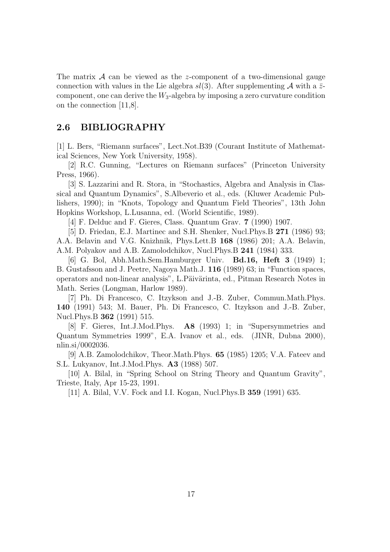The matrix  $\mathcal A$  can be viewed as the z-component of a two-dimensional gauge connection with values in the Lie algebra  $sl(3)$ . After supplementing A with a  $\bar{z}$ component, one can derive the  $W_3$ -algebra by imposing a zero curvature condition on the connection [11,8].

### 2.6 BIBLIOGRAPHY

[1] L. Bers, "Riemann surfaces", Lect.Not.B39 (Courant Institute of Mathematical Sciences, New York University, 1958).

[2] R.C. Gunning, "Lectures on Riemann surfaces" (Princeton University Press, 1966).

[3] S. Lazzarini and R. Stora, in "Stochastics, Algebra and Analysis in Classical and Quantum Dynamics", S.Albeverio et al., eds. (Kluwer Academic Publishers, 1990); in "Knots, Topology and Quantum Field Theories", 13th John Hopkins Workshop, L.Lusanna, ed. (World Scientific, 1989).

[4] F. Delduc and F. Gieres, Class. Quantum Grav. 7 (1990) 1907.

[5] D. Friedan, E.J. Martinec and S.H. Shenker, Nucl.Phys.B 271 (1986) 93; A.A. Belavin and V.G. Knizhnik, Phys.Lett.B 168 (1986) 201; A.A. Belavin, A.M. Polyakov and A.B. Zamolodchikov, Nucl.Phys.B 241 (1984) 333.

[6] G. Bol, Abh.Math.Sem.Hamburger Univ. Bd.16, Heft 3 (1949) 1; B. Gustafsson and J. Peetre, Nagoya Math.J. 116 (1989) 63; in "Function spaces, operators and non-linear analysis", L.Päivärinta, ed., Pitman Research Notes in Math. Series (Longman, Harlow 1989).

[7] Ph. Di Francesco, C. Itzykson and J.-B. Zuber, Commun.Math.Phys. 140 (1991) 543; M. Bauer, Ph. Di Francesco, C. Itzykson and J.-B. Zuber, Nucl.Phys.B 362 (1991) 515.

[8] F. Gieres, Int.J.Mod.Phys. A8 (1993) 1; in "Supersymmetries and Quantum Symmetries 1999", E.A. Ivanov et al., eds. (JINR, Dubna 2000), nlin.si/0002036.

[9] A.B. Zamolodchikov, Theor.Math.Phys. 65 (1985) 1205; V.A. Fateev and S.L. Lukyanov, Int.J.Mod.Phys. A3 (1988) 507.

[10] A. Bilal, in "Spring School on String Theory and Quantum Gravity", Trieste, Italy, Apr 15-23, 1991.

[11] A. Bilal, V.V. Fock and I.I. Kogan, Nucl.Phys.B 359 (1991) 635.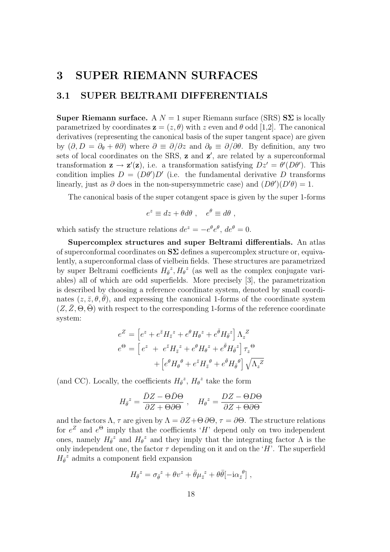# 3 SUPER RIEMANN SURFACES

# 3.1 SUPER BELTRAMI DIFFERENTIALS

**Super Riemann surface.** A  $N = 1$  super Riemann surface (SRS)  $S\Sigma$  is locally parametrized by coordinates  $z = (z, \theta)$  with z even and  $\theta$  odd [1,2]. The canonical derivatives (representing the canonical basis of the super tangent space) are given by  $(\partial, D = \partial_{\theta} + \theta \partial)$  where  $\partial \equiv \partial/\partial z$  and  $\partial_{\theta} \equiv \partial/\partial \theta$ . By definition, any two sets of local coordinates on the SRS,  $z$  and  $z'$ , are related by a superconformal transformation  $\mathbf{z} \to \mathbf{z}'(\mathbf{z})$ , i.e. a transformation satisfying  $Dz' = \theta'(D\theta')$ . This condition implies  $D = (D\theta')D'$  (i.e. the fundamental derivative D transforms linearly, just as  $\partial$  does in the non-supersymmetric case) and  $(D\theta')(D'\theta) = 1$ .

The canonical basis of the super cotangent space is given by the super 1-forms

$$
e^z \equiv dz + \theta d\theta \ , \quad e^{\theta} \equiv d\theta \ ,
$$

which satisfy the structure relations  $de^z = -e^{\theta}e^{\theta}$ ,  $de^{\theta} = 0$ .

Supercomplex structures and super Beltrami differentials. An atlas of superconformal coordinates on  $S\Sigma$  defines a supercomplex structure or, equivalently, a superconformal class of vielbein fields. These structures are parametrized by super Beltrami coefficients  $H_{\bar{\theta}}^z$ ,  $H_{\theta}^z$  (as well as the complex conjugate variables) all of which are odd superfields. More precisely [3], the parametrization is described by choosing a reference coordinate system, denoted by small coordinates  $(z, \bar{z}, \theta, \bar{\theta})$ , and expressing the canonical 1-forms of the coordinate system  $(Z, Z, \Theta, \Theta)$  with respect to the corresponding 1-forms of the reference coordinate system:

$$
e^{Z} = \left[e^{z} + e^{\bar{z}}H_{\bar{z}}^{z} + e^{\theta}H_{\theta}^{z} + e^{\bar{\theta}}H_{\bar{\theta}}^{z}\right]\Lambda_{z}^{Z}
$$

$$
e^{\Theta} = \left[e^{z} + e^{\bar{z}}H_{\bar{z}}^{z} + e^{\theta}H_{\theta}^{z} + e^{\bar{\theta}}H_{\bar{\theta}}^{z}\right]\tau_{z}^{\Theta}
$$

$$
+ \left[e^{\theta}H_{\theta}^{{\theta}} + e^{\bar{z}}H_{\bar{z}}^{{\theta}} + e^{\bar{\theta}}H_{\bar{\theta}}^{{\theta}\right]\sqrt{\Lambda_{z}}^{Z}
$$

(and CC). Locally, the coefficients  $H_{\bar{\theta}}^z$ ,  $H_{\theta}^z$  take the form

$$
H_{\bar{\theta}}^z = \frac{\bar{D}Z - \Theta \bar{D}\Theta}{\partial Z + \Theta \partial \Theta} , \quad H_{\theta}^z = \frac{DZ - \Theta D\Theta}{\partial Z + \Theta \partial \Theta}
$$

and the factors  $\Lambda$ ,  $\tau$  are given by  $\Lambda = \partial Z + \Theta \partial \Theta$ ,  $\tau = \partial \Theta$ . The structure relations for  $e^Z$  and  $e^{\Theta}$  imply that the coefficients 'H' depend only on two independent ones, namely  $H_{\bar{\theta}}^z$  and  $H_{\theta}^z$  and they imply that the integrating factor  $\Lambda$  is the only independent one, the factor  $\tau$  depending on it and on the 'H'. The superfield  $H_{\bar{\theta}}^z$  admits a component field expansion

$$
H_{\bar{\theta}}^z = \sigma_{\bar{\theta}}^z + \theta v^z + \bar{\theta} \mu_{\bar{z}}^z + \theta \bar{\theta} [-i \alpha_{\bar{z}}^{\theta}],
$$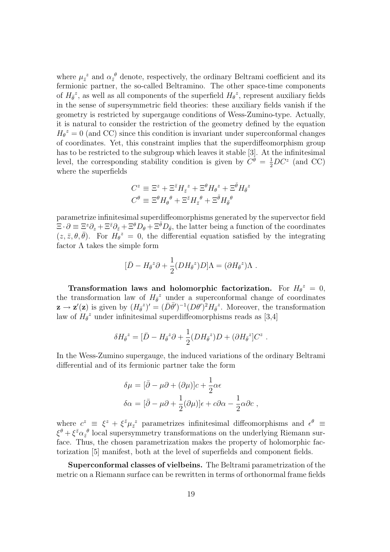where  $\mu_{\bar{z}}^z$  and  $\alpha_{\bar{z}}^{\theta}$  denote, respectively, the ordinary Beltrami coefficient and its fermionic partner, the so-called Beltramino. The other space-time components of  $H_{\bar{\theta}}^z$ , as well as all components of the superfield  $H_{\theta}^z$ , represent auxiliary fields in the sense of supersymmetric field theories: these auxiliary fields vanish if the geometry is restricted by supergauge conditions of Wess-Zumino-type. Actually, it is natural to consider the restriction of the geometry defined by the equation  $H_{\theta}^z = 0$  (and CC) since this condition is invariant under superconformal changes of coordinates. Yet, this constraint implies that the superdiffeomorphism group has to be restricted to the subgroup which leaves it stable [3]. At the infinitesimal level, the corresponding stability condition is given by  $C^{\theta} = \frac{1}{2}DC^{z}$  (and CC) where the superfields

$$
C^z \equiv \Xi^z + \Xi^{\bar{z}} H_{\bar{z}}^z + \Xi^{\theta} H_{\theta}^z + \Xi^{\bar{\theta}} H_{\bar{\theta}}^z
$$

$$
C^{\theta} \equiv \Xi^{\theta} H_{\theta}^{\ \theta} + \Xi^{\bar{z}} H_{\bar{z}}^{\ \theta} + \Xi^{\bar{\theta}} H_{\bar{\theta}}^{\ \theta}
$$

parametrize infinitesimal superdiffeomorphisms generated by the supervector field  $\Xi \cdot \partial \equiv \Xi^z \partial_z + \Xi^{\bar{z}} \partial_{\bar{z}} + \Xi^{\theta} D_{\theta} + \Xi^{\bar{\theta}} D_{\bar{\theta}},$  the latter being a function of the coordinates  $(z, \bar{z}, \theta, \bar{\theta})$ . For  $H_{\theta}^z = 0$ , the differential equation satisfied by the integrating factor  $\Lambda$  takes the simple form

$$
[\bar{D} - H_{\bar{\theta}}^{\ z}\partial + \frac{1}{2}(DH_{\bar{\theta}}^{\ z})D]\Lambda = (\partial H_{\bar{\theta}}^{\ z})\Lambda .
$$

Transformation laws and holomorphic factorization. For  $H_{\theta}^z = 0$ , the transformation law of  $H_{\bar{\theta}}^z$  under a superconformal change of coordinates  $\mathbf{z} \to \mathbf{z}'(\mathbf{z})$  is given by  $(H_{\bar{\theta}}^z)' = (\bar{D}\bar{\theta}')^{-1}(D\theta')^2 H_{\bar{\theta}}^z$ . Moreover, the transformation law of  $H_{\theta}^{\ z}$  under infinitesimal superdiffeomorphisms reads as [3,4]

$$
\delta H_{\bar{\theta}}^z = [\bar{D} - H_{\bar{\theta}}^z \partial + \frac{1}{2} (DH_{\bar{\theta}}^z)D + (\partial H_{\bar{\theta}}^z]C^z.
$$

In the Wess-Zumino supergauge, the induced variations of the ordinary Beltrami differential and of its fermionic partner take the form

$$
\delta\mu = [\bar{\partial} - \mu\partial + (\partial\mu)]c + \frac{1}{2}\alpha\epsilon
$$
  

$$
\delta\alpha = [\bar{\partial} - \mu\partial + \frac{1}{2}(\partial\mu)]\epsilon + c\partial\alpha - \frac{1}{2}\alpha\partial c,
$$

where  $c^z \equiv \xi^z + \xi^{\bar{z}} \mu_{\bar{z}}^z$  parametrizes infinitesimal diffeomorphisms and  $\epsilon^{\theta} \equiv$  $\xi^{\theta} + \xi^{\bar{z}} \alpha_{\bar{z}}^{\ \theta}$  local supersymmetry transformations on the underlying Riemann surface. Thus, the chosen parametrization makes the property of holomorphic factorization [5] manifest, both at the level of superfields and component fields.

Superconformal classes of vielbeins. The Beltrami parametrization of the metric on a Riemann surface can be rewritten in terms of orthonormal frame fields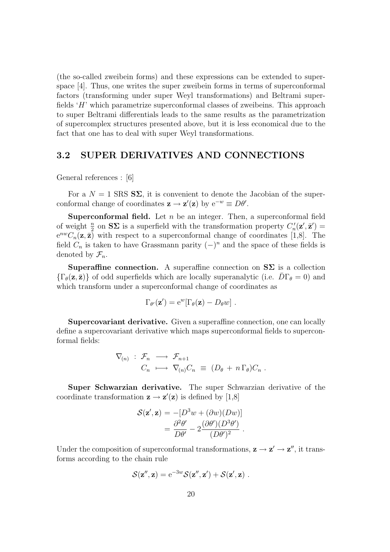(the so-called zweibein forms) and these expressions can be extended to superspace [4]. Thus, one writes the super zweibein forms in terms of superconformal factors (transforming under super Weyl transformations) and Beltrami superfields 'H' which parametrize superconformal classes of zweibeins. This approach to super Beltrami differentials leads to the same results as the parametrization of supercomplex structures presented above, but it is less economical due to the fact that one has to deal with super Weyl transformations.

# 3.2 SUPER DERIVATIVES AND CONNECTIONS

General references : [6]

For a  $N = 1$  SRS  $S\Sigma$ , it is convenient to denote the Jacobian of the superconformal change of coordinates  $z \to z'(z)$  by  $e^{-w} \equiv D\theta'$ .

**Superconformal field.** Let  $n$  be an integer. Then, a superconformal field of weight  $\frac{n}{2}$  on  $S\Sigma$  is a superfield with the transformation property  $C'_n(z',\bar{z}')$  $e^{nw}C_n(\mathbf{z},\bar{\mathbf{z}})$  with respect to a superconformal change of coordinates [1,8]. The field  $C_n$  is taken to have Grassmann parity  $(-)^n$  and the space of these fields is denoted by  $\mathcal{F}_n$ .

Superaffine connection. A superaffine connection on  $S\Sigma$  is a collection  $\{\Gamma_{\theta}(\mathbf{z},\bar{\mathbf{z}})\}\$  of odd superfields which are locally superanalytic (i.e.  $D\Gamma_{\theta}=0$ ) and which transform under a superconformal change of coordinates as

$$
\Gamma_{\theta'}(\mathbf{z}') = \mathrm{e}^w [\Gamma_{\theta}(\mathbf{z}) - D_{\theta}w] .
$$

Supercovariant derivative. Given a superaffine connection, one can locally define a supercovariant derivative which maps superconformal fields to superconformal fields:

$$
\nabla_{(n)} : \mathcal{F}_n \longrightarrow \mathcal{F}_{n+1} \nC_n \longrightarrow \nabla_{(n)} C_n \equiv (D_\theta + n \Gamma_\theta) C_n .
$$

Super Schwarzian derivative. The super Schwarzian derivative of the coordinate transformation  $z \rightarrow z'(z)$  is defined by [1,8]

$$
\mathcal{S}(\mathbf{z}', \mathbf{z}) = -[D^3 w + (\partial w)(Dw)]
$$
  
= 
$$
\frac{\partial^2 \theta'}{\partial \theta'} - 2 \frac{(\partial \theta') (D^3 \theta')}{(D \theta')^2}.
$$

Under the composition of superconformal transformations,  $z \rightarrow z' \rightarrow z''$ , it transforms according to the chain rule

$$
\mathcal{S}(\mathbf{z}^{\prime\prime},\mathbf{z}) = e^{-3w} \mathcal{S}(\mathbf{z}^{\prime\prime},\mathbf{z}^{\prime}) + \mathcal{S}(\mathbf{z}^{\prime},\mathbf{z}) \ .
$$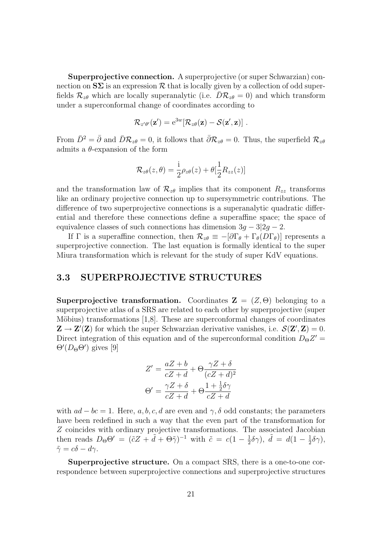Superprojective connection. A superprojective (or super Schwarzian) connection on  $S\Sigma$  is an expression  $R$  that is locally given by a collection of odd superfields  $\mathcal{R}_{z\theta}$  which are locally superanalytic (i.e.  $D\mathcal{R}_{z\theta} = 0$ ) and which transform under a superconformal change of coordinates according to

$$
\mathcal{R}_{z'\theta'}(\mathbf{z}') = \mathrm{e}^{3w} [\mathcal{R}_{z\theta}(\mathbf{z}) - \mathcal{S}(\mathbf{z}', \mathbf{z})] .
$$

From  $\bar{D}^2 = \bar{\partial}$  and  $\bar{D}R_{z\theta} = 0$ , it follows that  $\bar{\partial}R_{z\theta} = 0$ . Thus, the superfield  $\mathcal{R}_{z\theta}$ admits a  $\theta$ -expansion of the form

$$
\mathcal{R}_{z\theta}(z,\theta) = \frac{1}{2}\rho_{z\theta}(z) + \theta[\frac{1}{2}R_{zz}(z)]
$$

and the transformation law of  $\mathcal{R}_{z\theta}$  implies that its component  $R_{zz}$  transforms like an ordinary projective connection up to supersymmetric contributions. The difference of two superprojective connections is a superanalytic quadratic differential and therefore these connections define a superaffine space; the space of equivalence classes of such connections has dimension  $3q - 3|2q - 2$ .

If Γ is a superaffine connection, then  $\mathcal{R}_{z\theta} \equiv -[\partial \Gamma_{\theta} + \Gamma_{\theta}(D\Gamma_{\theta})]$  represents a superprojective connection. The last equation is formally identical to the super Miura transformation which is relevant for the study of super KdV equations.

### 3.3 SUPERPROJECTIVE STRUCTURES

Superprojective transformation. Coordinates  $\mathbf{Z} = (Z, \Theta)$  belonging to a superprojective atlas of a SRS are related to each other by superprojective (super Möbius) transformations  $[1,8]$ . These are superconformal changes of coordinates  $\mathbf{Z} \to \mathbf{Z}'(\mathbf{Z})$  for which the super Schwarzian derivative vanishes, i.e.  $\mathcal{S}(\mathbf{Z}', \mathbf{Z}) = 0$ . Direct integration of this equation and of the superconformal condition  $D_{\Theta}Z' =$  $\Theta'(D_\Theta \Theta')$  gives [9]

$$
Z' = \frac{aZ + b}{cZ + d} + \Theta \frac{\gamma Z + \delta}{(cZ + d)^2}
$$

$$
\Theta' = \frac{\gamma Z + \delta}{cZ + d} + \Theta \frac{1 + \frac{1}{2}\delta\gamma}{cZ + d}
$$

with  $ad - bc = 1$ . Here, a, b, c, d are even and  $\gamma$ ,  $\delta$  odd constants; the parameters have been redefined in such a way that the even part of the transformation for Z coincides with ordinary projective transformations. The associated Jacobian then reads  $D_{\Theta} \Theta' = (\tilde{c} Z + \tilde{d} + \Theta \tilde{\gamma})^{-1}$  with  $\tilde{c} = c(1 - \frac{1}{2})$  $\frac{1}{2}\delta\gamma$ ),  $\tilde{d} = d(1 - \frac{1}{2})$  $\frac{1}{2}\delta\gamma),$  $\tilde{\gamma} = c\delta - d\gamma.$ 

Superprojective structure. On a compact SRS, there is a one-to-one correspondence between superprojective connections and superprojective structures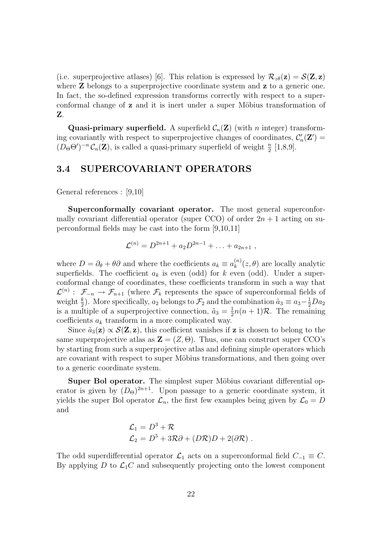(i.e. superprojective atlases) [6]. This relation is expressed by  $\mathcal{R}_{z\theta}(\mathbf{z}) = \mathcal{S}(\mathbf{Z}, \mathbf{z})$ where **Z** belongs to a superprojective coordinate system and **z** to a generic one. In fact, the so-defined expression transforms correctly with respect to a superconformal change of z and it is inert under a super Möbius transformation of Z.

Quasi-primary superfield. A superfield  $C_n(\mathbf{Z})$  (with *n* integer) transforming covariantly with respect to superprojective changes of coordinates,  $\mathcal{C}'_n(\mathbf{Z}')$  $(D_{\Theta} \Theta')^{-n} \mathcal{C}_n(\mathbf{Z})$ , is called a quasi-primary superfield of weight  $\frac{n}{2}$  [1,8,9].

### 3.4 SUPERCOVARIANT OPERATORS

General references : [9,10]

Superconformally covariant operator. The most general superconformally covariant differential operator (super CCO) of order  $2n + 1$  acting on superconformal fields may be cast into the form [9,10,11]

$$
\mathcal{L}^{(n)} = D^{2n+1} + a_2 D^{2n-1} + \ldots + a_{2n+1} ,
$$

where  $D = \partial_{\theta} + \theta \partial$  and where the coefficients  $a_k \equiv a_k^{(n)}$  $\binom{n}{k}(z,\theta)$  are locally analytic superfields. The coefficient  $a_k$  is even (odd) for k even (odd). Under a superconformal change of coordinates, these coefficients transform in such a way that  $\mathcal{L}^{(n)}: \mathcal{F}_{-n} \to \mathcal{F}_{n+1}$  (where  $\mathcal{F}_k$  represents the space of superconformal fields of weight  $\frac{k}{2}$ ). More specifically,  $a_2$  belongs to  $\mathcal{F}_2$  and the combination  $\tilde{a}_3 \equiv a_3 - \frac{1}{2}Da_2$ is a multiple of a superprojective connection,  $\tilde{a}_3 = \frac{1}{2}$  $\frac{1}{2}n(n+1)\mathcal{R}$ . The remaining coefficients  $a_k$  transform in a more complicated way.

Since  $\tilde{a}_3(z) \propto \mathcal{S}(z, z)$ , this coefficient vanishes if z is chosen to belong to the same superprojective atlas as  $\mathbf{Z} = (Z, \Theta)$ . Thus, one can construct super CCO's by starting from such a superprojective atlas and defining simple operators which are covariant with respect to super Möbius transformations, and then going over to a generic coordinate system.

Super Bol operator. The simplest super Möbius covariant differential operator is given by  $(D_{\Theta})^{2n+1}$ . Upon passage to a generic coordinate system, it yields the super Bol operator  $\mathcal{L}_n$ , the first few examples being given by  $\mathcal{L}_0 = D$ and

$$
\mathcal{L}_1 = D^3 + \mathcal{R}
$$
  
\n
$$
\mathcal{L}_2 = D^5 + 3\mathcal{R}\partial + (D\mathcal{R})D + 2(\partial \mathcal{R})
$$
.

The odd superdifferential operator  $\mathcal{L}_1$  acts on a superconformal field  $C_{-1} \equiv C$ . By applying  $D$  to  $\mathcal{L}_1 C$  and subsequently projecting onto the lowest component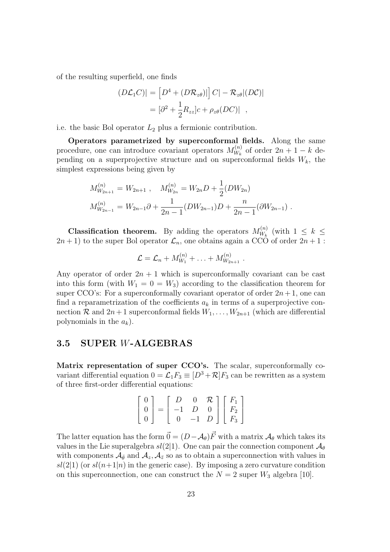of the resulting superfield, one finds

$$
(D\mathcal{L}_1 C)| = [D^4 + (D\mathcal{R}_{z\theta})|] C| - \mathcal{R}_{z\theta} |(DC)|
$$
  
=  $[\partial^2 + \frac{1}{2} R_{zz}]c + \rho_{z\theta} (DC)|$ ,

i.e. the basic Bol operator  $L_2$  plus a fermionic contribution.

Operators parametrized by superconformal fields. Along the same procedure, one can introduce covariant operators  $M_{W_L}^{(n)}$  $W_k^{(n)}$  of order  $2n+1-k$  depending on a superprojective structure and on superconformal fields  $W_k$ , the simplest expressions being given by

$$
M_{W_{2n+1}}^{(n)} = W_{2n+1} , \quad M_{W_{2n}}^{(n)} = W_{2n}D + \frac{1}{2}(DW_{2n})
$$
  

$$
M_{W_{2n-1}}^{(n)} = W_{2n-1}\partial + \frac{1}{2n-1}(DW_{2n-1})D + \frac{n}{2n-1}(\partial W_{2n-1}).
$$

**Classification theorem.** By adding the operators  $M_{W_h}^{(n)}$  $W_k^{(n)}$  (with  $1 \leq k \leq$  $(2n+1)$  to the super Bol operator  $\mathcal{L}_n$ , one obtains again a CCO of order  $2n+1$ :

$$
\mathcal{L} = \mathcal{L}_n + M_{W_1}^{(n)} + \ldots + M_{W_{2n+1}}^{(n)}.
$$

Any operator of order  $2n + 1$  which is superconformally covariant can be cast into this form (with  $W_1 = 0 = W_3$ ) according to the classification theorem for super CCO's: For a superconformally covariant operator of order  $2n+1$ , one can find a reparametrization of the coefficients  $a_k$  in terms of a superprojective connection  $\mathcal{R}$  and  $2n+1$  superconformal fields  $W_1, \ldots, W_{2n+1}$  (which are differential polynomials in the  $a_k$ ).

### 3.5 SUPER W-ALGEBRAS

Matrix representation of super CCO's. The scalar, superconformally covariant differential equation  $0 = \mathcal{L}_1 F_3 \equiv [D^3 + \mathcal{R}] F_3$  can be rewritten as a system of three first-order differential equations:

$$
\begin{bmatrix} 0 \\ 0 \\ 0 \end{bmatrix} = \begin{bmatrix} D & 0 & \mathcal{R} \\ -1 & D & 0 \\ 0 & -1 & D \end{bmatrix} \begin{bmatrix} F_1 \\ F_2 \\ F_3 \end{bmatrix}
$$

The latter equation has the form  $\vec{0} = (D - A_{\theta})\vec{F}$  with a matrix  $A_{\theta}$  which takes its values in the Lie superalgebra  $sl(2|1)$ . One can pair the connection component  $\mathcal{A}_{\theta}$ with components  $\mathcal{A}_{\bar{\theta}}$  and  $\mathcal{A}_z$ ,  $\mathcal{A}_{\bar{z}}$  so as to obtain a superconnection with values in  $sl(2|1)$  (or  $sl(n+1|n)$  in the generic case). By imposing a zero curvature condition on this superconnection, one can construct the  $N = 2$  super  $W_3$  algebra [10].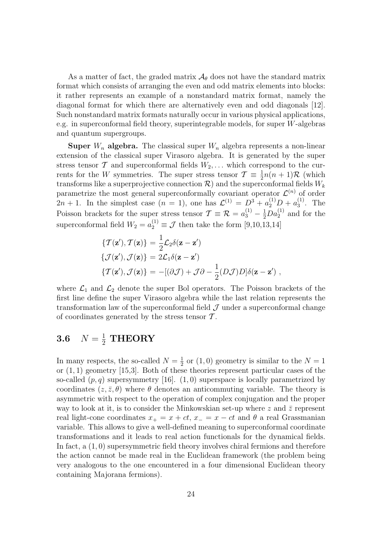As a matter of fact, the graded matrix  $\mathcal{A}_{\theta}$  does not have the standard matrix format which consists of arranging the even and odd matrix elements into blocks: it rather represents an example of a nonstandard matrix format, namely the diagonal format for which there are alternatively even and odd diagonals [12]. Such nonstandard matrix formats naturally occur in various physical applications, e.g. in superconformal field theory, superintegrable models, for super W-algebras and quantum supergroups.

**Super**  $W_n$  algebra. The classical super  $W_n$  algebra represents a non-linear extension of the classical super Virasoro algebra. It is generated by the super stress tensor  $\mathcal T$  and superconformal fields  $W_2, \ldots$  which correspond to the currents for the W symmetries. The super stress tensor  $\mathcal{T} \equiv \frac{1}{2}n(n+1)\mathcal{R}$  (which transforms like a superprojective connection  $\mathcal{R}$ ) and the superconformal fields  $W_k$ parametrize the most general superconformally covariant operator  $\mathcal{L}^{(n)}$  of order  $2n + 1$ . In the simplest case  $(n = 1)$ , one has  $\mathcal{L}^{(1)} = D^3 + a_2^{(1)}D + a_3^{(1)}$  $_{3}^{(1)}$ . The Poisson brackets for the super stress tensor  $\mathcal{T} \equiv \mathcal{R} = a_3^{(1)} - \frac{1}{2}Da_2^{(1)}$  and for the superconformal field  $W_2 = a_2^{(1)} \equiv \mathcal{J}$  then take the form [9,10,13,14]

$$
\begin{aligned}\n\{\mathcal{T}(\mathbf{z}'), \mathcal{T}(\mathbf{z})\} &= \frac{1}{2}\mathcal{L}_2\delta(\mathbf{z} - \mathbf{z}')\\ \{\mathcal{J}(\mathbf{z}'), \mathcal{J}(\mathbf{z})\} &= 2\mathcal{L}_1\delta(\mathbf{z} - \mathbf{z}')\\ \{\mathcal{T}(\mathbf{z}'), \mathcal{J}(\mathbf{z})\} &= -[(\partial \mathcal{J}) + \mathcal{J}\partial - \frac{1}{2}(D\mathcal{J})D]\delta(\mathbf{z} - \mathbf{z}')\n\end{aligned}
$$

where  $\mathcal{L}_1$  and  $\mathcal{L}_2$  denote the super Bol operators. The Poisson brackets of the first line define the super Virasoro algebra while the last relation represents the transformation law of the superconformal field  $\mathcal J$  under a superconformal change of coordinates generated by the stress tensor  $\mathcal T$ .

# **3.6**  $N = \frac{1}{2}$  **THEORY**

In many respects, the so-called  $N=\frac{1}{2}$  $\frac{1}{2}$  or  $(1,0)$  geometry is similar to the  $N=1$ or (1, 1) geometry [15,3]. Both of these theories represent particular cases of the so-called  $(p, q)$  supersymmetry [16].  $(1, 0)$  superspace is locally parametrized by coordinates  $(z, \bar{z}, \theta)$  where  $\theta$  denotes an anticommuting variable. The theory is asymmetric with respect to the operation of complex conjugation and the proper way to look at it, is to consider the Minkowskian set-up where z and  $\bar{z}$  represent real light-cone coordinates  $x_+ = x + ct$ ,  $x_- = x - ct$  and  $\theta$  a real Grassmanian variable. This allows to give a well-defined meaning to superconformal coordinate transformations and it leads to real action functionals for the dynamical fields. In fact, a (1, 0) supersymmetric field theory involves chiral fermions and therefore the action cannot be made real in the Euclidean framework (the problem being very analogous to the one encountered in a four dimensional Euclidean theory containing Majorana fermions).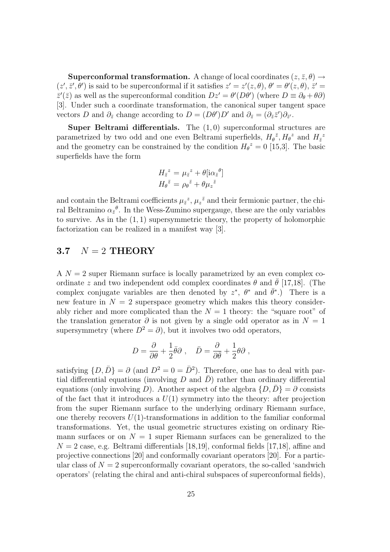**Superconformal transformation.** A change of local coordinates  $(z, \bar{z}, \theta) \rightarrow$  $(z', \bar{z}', \theta')$  is said to be superconformal if it satisfies  $z' = z'(z, \theta), \theta' = \theta'(z, \theta), \bar{z}' = z'$  $\bar{z}'(\bar{z})$  as well as the superconformal condition  $Dz' = \theta'(D\theta')$  (where  $D \equiv \partial_{\theta} + \theta \partial$ ) [3]. Under such a coordinate transformation, the canonical super tangent space vectors D and  $\partial_{\bar{z}}$  change according to  $D = (D\theta')D'$  and  $\partial_{\bar{z}} = (\partial_{\bar{z}}\bar{z}')\partial_{\bar{z}'}$ .

Super Beltrami differentials. The  $(1,0)$  superconformal structures are parametrized by two odd and one even Beltrami superfields,  $H_{\theta}^{\bar{z}}, H_{\theta}^{\bar{z}}$  and  $H_{\bar{z}}^{\bar{z}}$ and the geometry can be constrained by the condition  $H_{\theta}^{\ z} = 0$  [15,3]. The basic superfields have the form

$$
H_{\bar{z}}^{z} = \mu_{\bar{z}}^{z} + \theta [\mathrm{i} \alpha_{\bar{z}}^{\theta}]
$$

$$
H_{\theta}^{z} = \rho_{\theta}^{\bar{z}} + \theta \mu_{z}^{\bar{z}}
$$

and contain the Beltrami coefficients  $\mu_{\bar{z}}^z$ ,  $\mu_z^{\bar{z}}$  and their fermionic partner, the chiral Beltramino  $\alpha_{\bar{z}}{}^{\theta}$ . In the Wess-Zumino supergauge, these are the only variables to survive. As in the  $(1, 1)$  supersymmetric theory, the property of holomorphic factorization can be realized in a manifest way [3].

## 3.7  $N = 2$  THEORY

 $A \, N = 2$  super Riemann surface is locally parametrized by an even complex coordinate z and two independent odd complex coordinates  $\theta$  and  $\theta$  [17,18]. (The complex conjugate variables are then denoted by  $z^*$ ,  $\theta^*$  and  $\bar{\theta}^*$ .) There is a new feature in  $N = 2$  superspace geometry which makes this theory considerably richer and more complicated than the  $N = 1$  theory: the "square root" of the translation generator  $\partial$  is not given by a single odd operator as in  $N = 1$ supersymmetry (where  $D^2 = \partial$ ), but it involves two odd operators,

$$
D = \frac{\partial}{\partial \theta} + \frac{1}{2} \bar{\theta} \partial , \quad \bar{D} = \frac{\partial}{\partial \bar{\theta}} + \frac{1}{2} \theta \partial ,
$$

satisfying  $\{D, \bar{D}\} = \partial$  (and  $D^2 = 0 = \bar{D}^2$ ). Therefore, one has to deal with partial differential equations (involving  $D$  and  $\overline{D}$ ) rather than ordinary differential equations (only involving D). Another aspect of the algebra  $\{D, D\} = \partial$  consists of the fact that it introduces a  $U(1)$  symmetry into the theory: after projection from the super Riemann surface to the underlying ordinary Riemann surface, one thereby recovers  $U(1)$ -transformations in addition to the familiar conformal transformations. Yet, the usual geometric structures existing on ordinary Riemann surfaces or on  $N = 1$  super Riemann surfaces can be generalized to the  $N = 2$  case, e.g. Beltrami differentials [18,19], conformal fields [17,18], affine and projective connections [20] and conformally covariant operators [20]. For a particular class of  $N = 2$  superconformally covariant operators, the so-called 'sandwich operators' (relating the chiral and anti-chiral subspaces of superconformal fields),